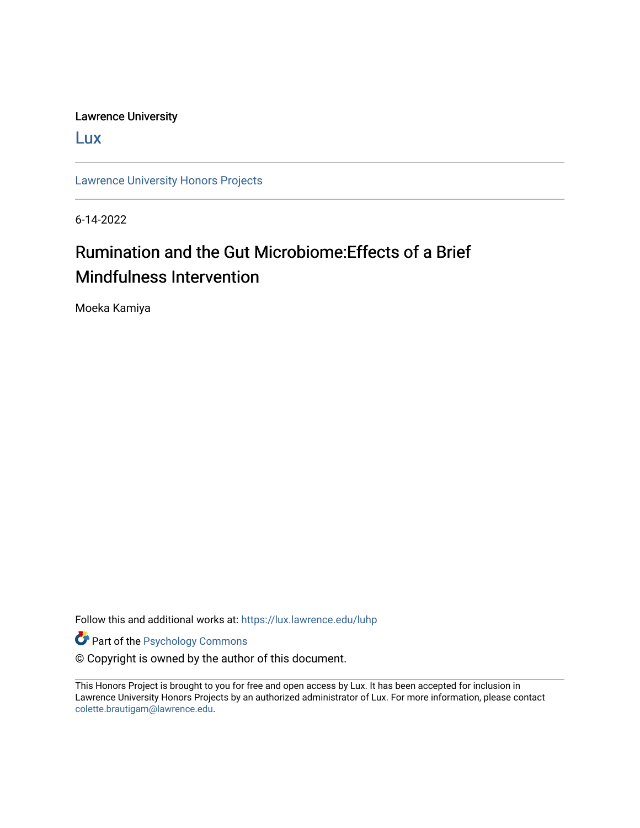Lawrence University

[Lux](https://lux.lawrence.edu/)

[Lawrence University Honors Projects](https://lux.lawrence.edu/luhp)

6-14-2022

# Rumination and the Gut Microbiome:Effects of a Brief Mindfulness Intervention

Moeka Kamiya

Follow this and additional works at: [https://lux.lawrence.edu/luhp](https://lux.lawrence.edu/luhp?utm_source=lux.lawrence.edu%2Fluhp%2F168&utm_medium=PDF&utm_campaign=PDFCoverPages)

**Part of the Psychology Commons** 

© Copyright is owned by the author of this document.

This Honors Project is brought to you for free and open access by Lux. It has been accepted for inclusion in Lawrence University Honors Projects by an authorized administrator of Lux. For more information, please contact [colette.brautigam@lawrence.edu.](mailto:colette.brautigam@lawrence.edu)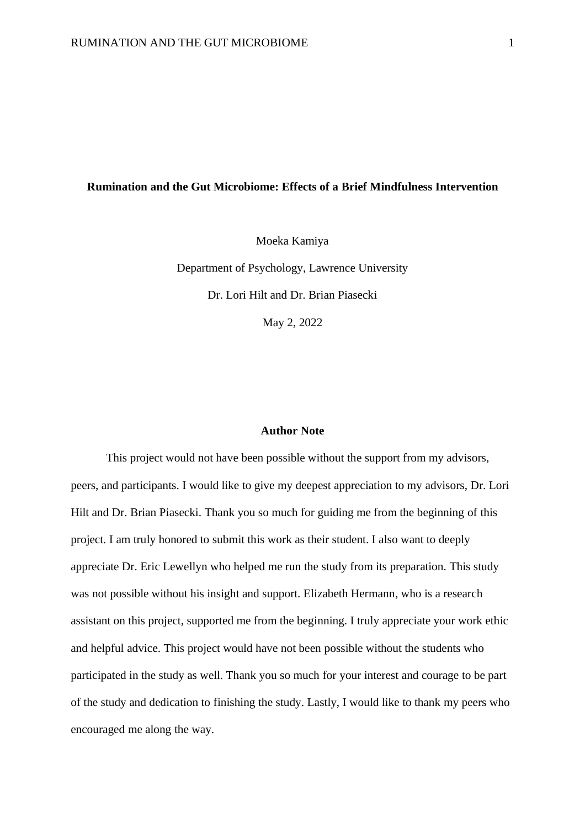#### **Rumination and the Gut Microbiome: Effects of a Brief Mindfulness Intervention**

Moeka Kamiya

Department of Psychology, Lawrence University Dr. Lori Hilt and Dr. Brian Piasecki May 2, 2022

#### **Author Note**

This project would not have been possible without the support from my advisors, peers, and participants. I would like to give my deepest appreciation to my advisors, Dr. Lori Hilt and Dr. Brian Piasecki. Thank you so much for guiding me from the beginning of this project. I am truly honored to submit this work as their student. I also want to deeply appreciate Dr. Eric Lewellyn who helped me run the study from its preparation. This study was not possible without his insight and support. Elizabeth Hermann, who is a research assistant on this project, supported me from the beginning. I truly appreciate your work ethic and helpful advice. This project would have not been possible without the students who participated in the study as well. Thank you so much for your interest and courage to be part of the study and dedication to finishing the study. Lastly, I would like to thank my peers who encouraged me along the way.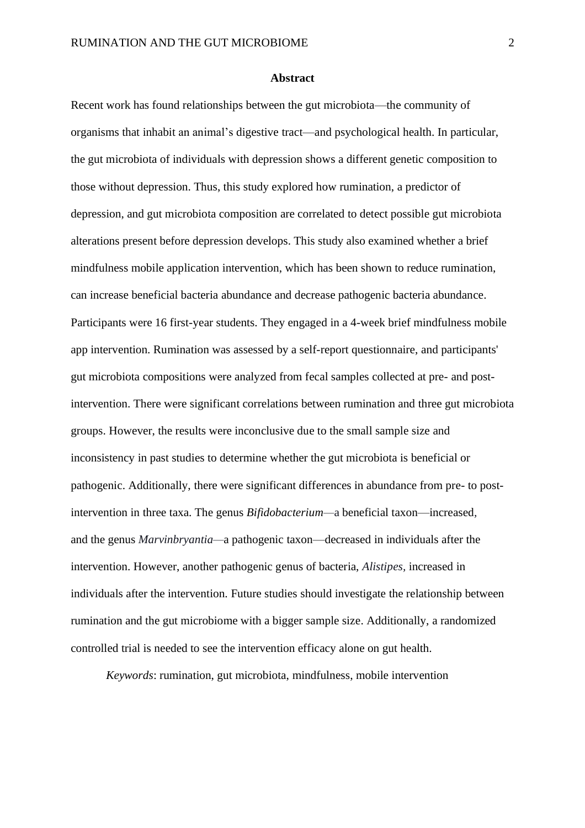#### **Abstract**

Recent work has found relationships between the gut microbiota—the community of organisms that inhabit an animal's digestive tract—and psychological health. In particular, the gut microbiota of individuals with depression shows a different genetic composition to those without depression. Thus, this study explored how rumination, a predictor of depression, and gut microbiota composition are correlated to detect possible gut microbiota alterations present before depression develops. This study also examined whether a brief mindfulness mobile application intervention, which has been shown to reduce rumination, can increase beneficial bacteria abundance and decrease pathogenic bacteria abundance. Participants were 16 first-year students. They engaged in a 4-week brief mindfulness mobile app intervention. Rumination was assessed by a self-report questionnaire, and participants' gut microbiota compositions were analyzed from fecal samples collected at pre- and postintervention. There were significant correlations between rumination and three gut microbiota groups. However, the results were inconclusive due to the small sample size and inconsistency in past studies to determine whether the gut microbiota is beneficial or pathogenic. Additionally, there were significant differences in abundance from pre- to postintervention in three taxa. The genus *Bifidobacterium—*a beneficial taxon—increased*,*  and the genus *Marvinbryantia—*a pathogenic taxon—decreased in individuals after the intervention. However, another pathogenic genus of bacteria, *Alistipes,* increased in individuals after the intervention. Future studies should investigate the relationship between rumination and the gut microbiome with a bigger sample size. Additionally, a randomized controlled trial is needed to see the intervention efficacy alone on gut health.

*Keywords*: rumination, gut microbiota, mindfulness, mobile intervention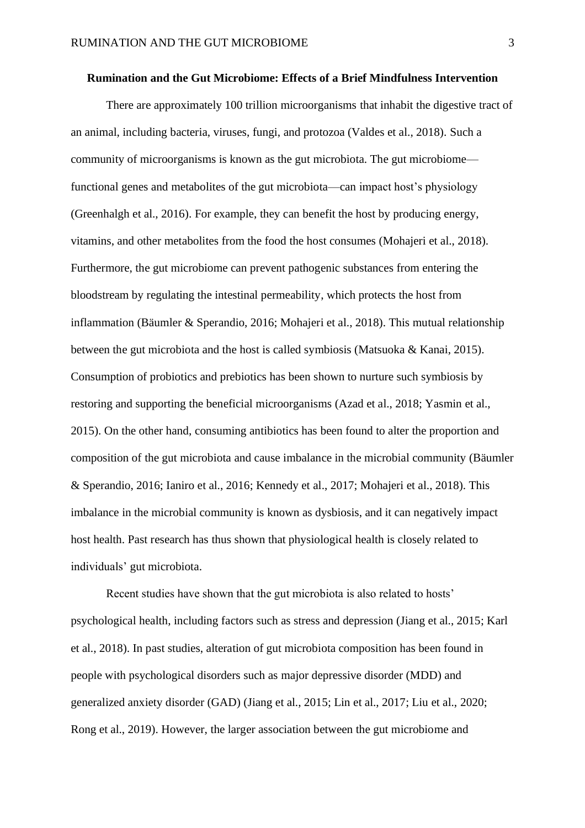#### **Rumination and the Gut Microbiome: Effects of a Brief Mindfulness Intervention**

There are approximately 100 trillion microorganisms that inhabit the digestive tract of an animal, including bacteria, viruses, fungi, and protozoa (Valdes et al., 2018). Such a community of microorganisms is known as the gut microbiota. The gut microbiome functional genes and metabolites of the gut microbiota—can impact host's physiology (Greenhalgh et al., 2016). For example, they can benefit the host by producing energy, vitamins, and other metabolites from the food the host consumes (Mohajeri et al., 2018). Furthermore, the gut microbiome can prevent pathogenic substances from entering the bloodstream by regulating the intestinal permeability, which protects the host from inflammation (Bäumler & Sperandio, 2016; Mohajeri et al., 2018). This mutual relationship between the gut microbiota and the host is called symbiosis (Matsuoka & Kanai, 2015). Consumption of probiotics and prebiotics has been shown to nurture such symbiosis by restoring and supporting the beneficial microorganisms (Azad et al., 2018; Yasmin et al., 2015). On the other hand, consuming antibiotics has been found to alter the proportion and composition of the gut microbiota and cause imbalance in the microbial community (Bäumler & Sperandio, 2016; Ianiro et al., 2016; Kennedy et al., 2017; Mohajeri et al., 2018). This imbalance in the microbial community is known as dysbiosis, and it can negatively impact host health. Past research has thus shown that physiological health is closely related to individuals' gut microbiota.

Recent studies have shown that the gut microbiota is also related to hosts' psychological health, including factors such as stress and depression (Jiang et al., 2015; Karl et al., 2018). In past studies, alteration of gut microbiota composition has been found in people with psychological disorders such as major depressive disorder (MDD) and generalized anxiety disorder (GAD) (Jiang et al., 2015; Lin et al., 2017; Liu et al., 2020; Rong et al., 2019). However, the larger association between the gut microbiome and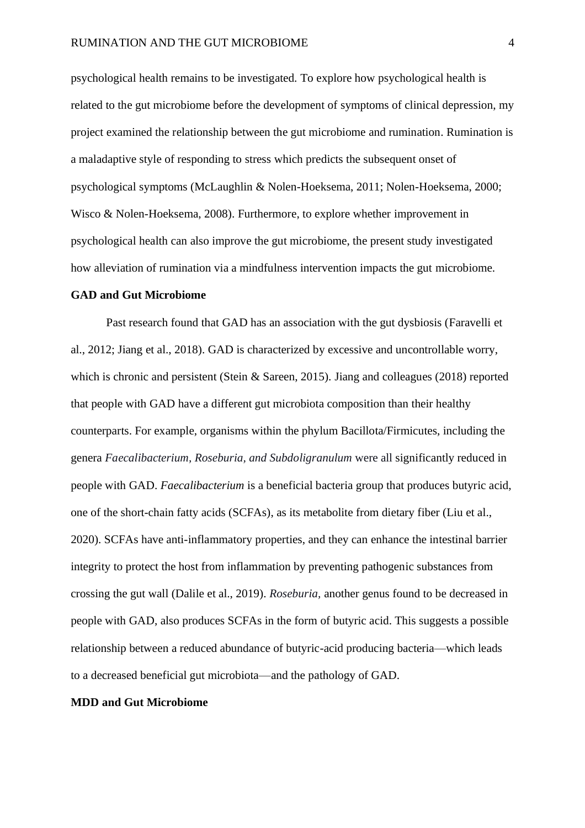psychological health remains to be investigated. To explore how psychological health is related to the gut microbiome before the development of symptoms of clinical depression, my project examined the relationship between the gut microbiome and rumination. Rumination is a maladaptive style of responding to stress which predicts the subsequent onset of psychological symptoms (McLaughlin & Nolen-Hoeksema, 2011; Nolen-Hoeksema, 2000; Wisco & Nolen-Hoeksema, 2008). Furthermore, to explore whether improvement in psychological health can also improve the gut microbiome, the present study investigated how alleviation of rumination via a mindfulness intervention impacts the gut microbiome.

#### **GAD and Gut Microbiome**

Past research found that GAD has an association with the gut dysbiosis (Faravelli et al., 2012; Jiang et al., 2018). GAD is characterized by excessive and uncontrollable worry, which is chronic and persistent (Stein & Sareen, 2015). Jiang and colleagues (2018) reported that people with GAD have a different gut microbiota composition than their healthy counterparts. For example, organisms within the phylum Bacillota/Firmicutes, including the genera *Faecalibacterium, Roseburia, and Subdoligranulum* were all significantly reduced in people with GAD. *Faecalibacterium* is a beneficial bacteria group that produces butyric acid, one of the short-chain fatty acids (SCFAs), as its metabolite from dietary fiber (Liu et al., 2020). SCFAs have anti-inflammatory properties, and they can enhance the intestinal barrier integrity to protect the host from inflammation by preventing pathogenic substances from crossing the gut wall (Dalile et al., 2019). *Roseburia,* another genus found to be decreased in people with GAD, also produces SCFAs in the form of butyric acid. This suggests a possible relationship between a reduced abundance of butyric-acid producing bacteria—which leads to a decreased beneficial gut microbiota—and the pathology of GAD.

#### **MDD and Gut Microbiome**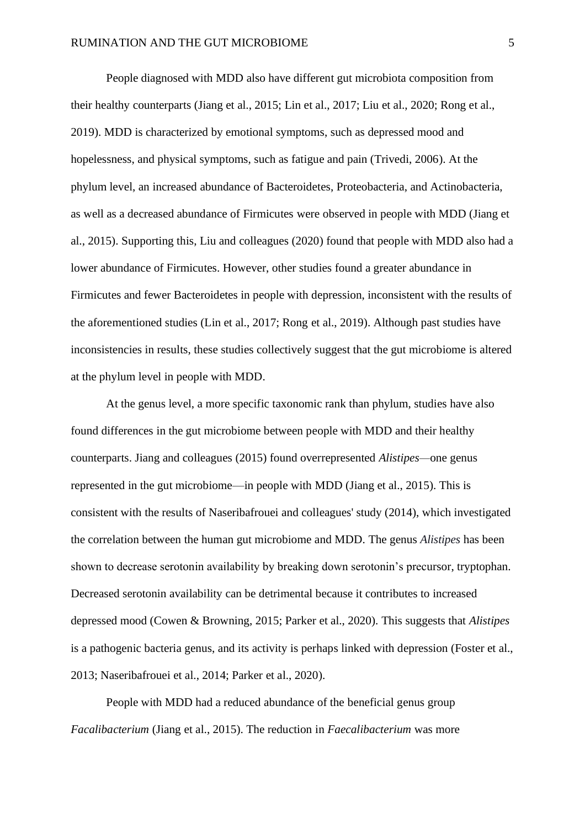People diagnosed with MDD also have different gut microbiota composition from their healthy counterparts (Jiang et al., 2015; Lin et al., 2017; Liu et al., 2020; Rong et al., 2019). MDD is characterized by emotional symptoms, such as depressed mood and hopelessness, and physical symptoms, such as fatigue and pain (Trivedi, 2006). At the phylum level, an increased abundance of Bacteroidetes, Proteobacteria, and Actinobacteria, as well as a decreased abundance of Firmicutes were observed in people with MDD (Jiang et al., 2015). Supporting this, Liu and colleagues (2020) found that people with MDD also had a lower abundance of Firmicutes. However, other studies found a greater abundance in Firmicutes and fewer Bacteroidetes in people with depression, inconsistent with the results of the aforementioned studies (Lin et al., 2017; Rong et al., 2019). Although past studies have inconsistencies in results, these studies collectively suggest that the gut microbiome is altered at the phylum level in people with MDD.

At the genus level, a more specific taxonomic rank than phylum, studies have also found differences in the gut microbiome between people with MDD and their healthy counterparts. Jiang and colleagues (2015) found overrepresented *Alistipes—*one genus represented in the gut microbiome—in people with MDD (Jiang et al., 2015). This is consistent with the results of Naseribafrouei and colleagues' study (2014), which investigated the correlation between the human gut microbiome and MDD. The genus *Alistipes* has been shown to decrease serotonin availability by breaking down serotonin's precursor, tryptophan. Decreased serotonin availability can be detrimental because it contributes to increased depressed mood (Cowen & Browning, 2015; Parker et al., 2020). This suggests that *Alistipes*  is a pathogenic bacteria genus, and its activity is perhaps linked with depression (Foster et al., 2013; Naseribafrouei et al., 2014; Parker et al., 2020).

People with MDD had a reduced abundance of the beneficial genus group *Facalibacterium* (Jiang et al., 2015). The reduction in *Faecalibacterium* was more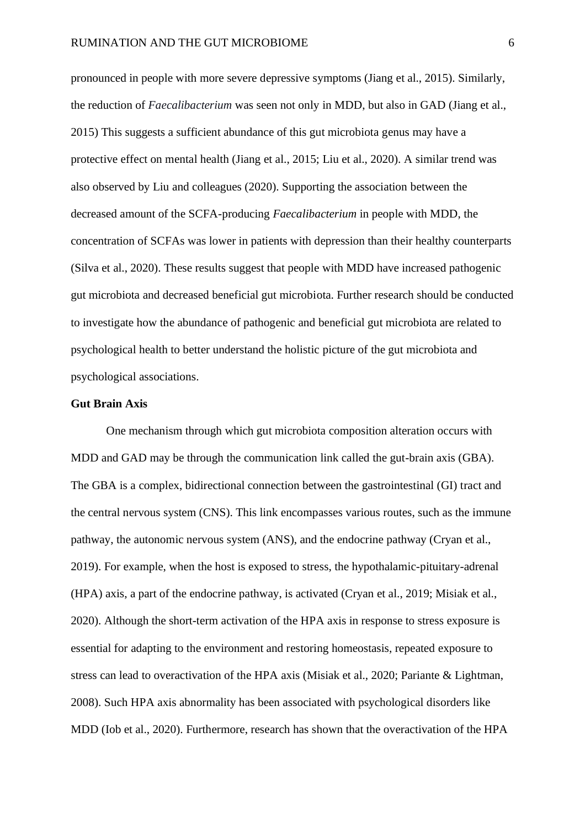pronounced in people with more severe depressive symptoms (Jiang et al., 2015). Similarly, the reduction of *Faecalibacterium* was seen not only in MDD, but also in GAD (Jiang et al., 2015) This suggests a sufficient abundance of this gut microbiota genus may have a protective effect on mental health (Jiang et al., 2015; Liu et al., 2020). A similar trend was also observed by Liu and colleagues (2020). Supporting the association between the decreased amount of the SCFA-producing *Faecalibacterium* in people with MDD, the concentration of SCFAs was lower in patients with depression than their healthy counterparts (Silva et al., 2020). These results suggest that people with MDD have increased pathogenic gut microbiota and decreased beneficial gut microbiota. Further research should be conducted to investigate how the abundance of pathogenic and beneficial gut microbiota are related to psychological health to better understand the holistic picture of the gut microbiota and psychological associations.

#### **Gut Brain Axis**

One mechanism through which gut microbiota composition alteration occurs with MDD and GAD may be through the communication link called the gut-brain axis (GBA). The GBA is a complex, bidirectional connection between the gastrointestinal (GI) tract and the central nervous system (CNS). This link encompasses various routes, such as the immune pathway, the autonomic nervous system (ANS), and the endocrine pathway (Cryan et al., 2019). For example, when the host is exposed to stress, the hypothalamic-pituitary-adrenal (HPA) axis, a part of the endocrine pathway, is activated (Cryan et al., 2019; Misiak et al., 2020). Although the short-term activation of the HPA axis in response to stress exposure is essential for adapting to the environment and restoring homeostasis, repeated exposure to stress can lead to overactivation of the HPA axis (Misiak et al., 2020; Pariante & Lightman, 2008). Such HPA axis abnormality has been associated with psychological disorders like MDD (Iob et al., 2020). Furthermore, research has shown that the overactivation of the HPA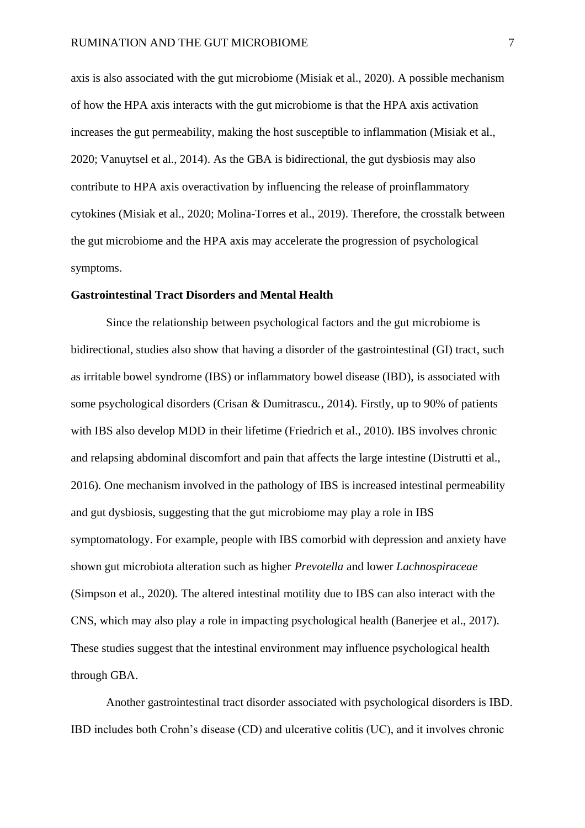axis is also associated with the gut microbiome (Misiak et al., 2020). A possible mechanism of how the HPA axis interacts with the gut microbiome is that the HPA axis activation increases the gut permeability, making the host susceptible to inflammation (Misiak et al., 2020; Vanuytsel et al., 2014). As the GBA is bidirectional, the gut dysbiosis may also contribute to HPA axis overactivation by influencing the release of proinflammatory cytokines (Misiak et al., 2020; Molina-Torres et al., 2019). Therefore, the crosstalk between the gut microbiome and the HPA axis may accelerate the progression of psychological symptoms.

#### **Gastrointestinal Tract Disorders and Mental Health**

Since the relationship between psychological factors and the gut microbiome is bidirectional, studies also show that having a disorder of the gastrointestinal (GI) tract, such as irritable bowel syndrome (IBS) or inflammatory bowel disease (IBD), is associated with some psychological disorders (Crisan & Dumitrascu., 2014). Firstly, up to 90% of patients with IBS also develop MDD in their lifetime (Friedrich et al., 2010). IBS involves chronic and relapsing abdominal discomfort and pain that affects the large intestine (Distrutti et al., 2016). One mechanism involved in the pathology of IBS is increased intestinal permeability and gut dysbiosis, suggesting that the gut microbiome may play a role in IBS symptomatology. For example, people with IBS comorbid with depression and anxiety have shown gut microbiota alteration such as higher *Prevotella* and lower *Lachnospiraceae*  (Simpson et al., 2020)*.* The altered intestinal motility due to IBS can also interact with the CNS, which may also play a role in impacting psychological health (Banerjee et al., 2017). These studies suggest that the intestinal environment may influence psychological health through GBA.

Another gastrointestinal tract disorder associated with psychological disorders is IBD. IBD includes both Crohn's disease (CD) and ulcerative colitis (UC), and it involves chronic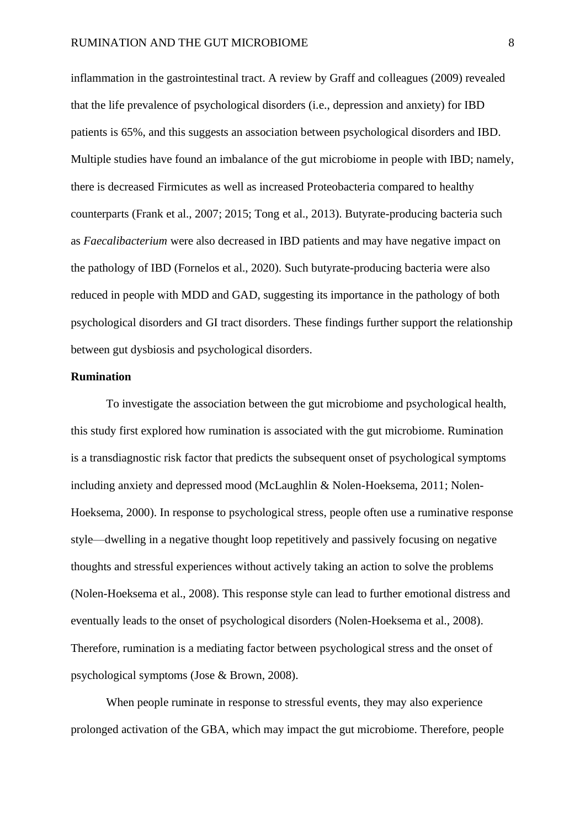inflammation in the gastrointestinal tract. A review by Graff and colleagues (2009) revealed that the life prevalence of psychological disorders (i.e., depression and anxiety) for IBD patients is 65%, and this suggests an association between psychological disorders and IBD. Multiple studies have found an imbalance of the gut microbiome in people with IBD; namely, there is decreased Firmicutes as well as increased Proteobacteria compared to healthy counterparts (Frank et al., 2007; 2015; Tong et al., 2013). Butyrate-producing bacteria such as *Faecalibacterium* were also decreased in IBD patients and may have negative impact on the pathology of IBD (Fornelos et al., 2020). Such butyrate-producing bacteria were also reduced in people with MDD and GAD, suggesting its importance in the pathology of both psychological disorders and GI tract disorders. These findings further support the relationship between gut dysbiosis and psychological disorders.

#### **Rumination**

To investigate the association between the gut microbiome and psychological health, this study first explored how rumination is associated with the gut microbiome. Rumination is a transdiagnostic risk factor that predicts the subsequent onset of psychological symptoms including anxiety and depressed mood (McLaughlin & Nolen-Hoeksema, 2011; Nolen-Hoeksema, 2000). In response to psychological stress, people often use a ruminative response style—dwelling in a negative thought loop repetitively and passively focusing on negative thoughts and stressful experiences without actively taking an action to solve the problems (Nolen-Hoeksema et al., 2008). This response style can lead to further emotional distress and eventually leads to the onset of psychological disorders (Nolen-Hoeksema et al., 2008). Therefore, rumination is a mediating factor between psychological stress and the onset of psychological symptoms (Jose & Brown, 2008).

When people ruminate in response to stressful events, they may also experience prolonged activation of the GBA, which may impact the gut microbiome. Therefore, people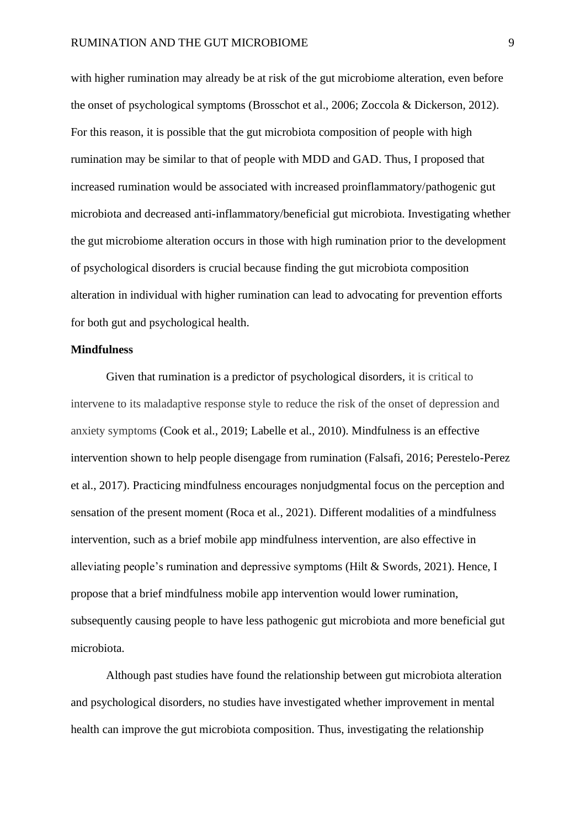with higher rumination may already be at risk of the gut microbiome alteration, even before the onset of psychological symptoms (Brosschot et al., 2006; Zoccola & Dickerson, 2012). For this reason, it is possible that the gut microbiota composition of people with high rumination may be similar to that of people with MDD and GAD. Thus, I proposed that increased rumination would be associated with increased proinflammatory/pathogenic gut microbiota and decreased anti-inflammatory/beneficial gut microbiota. Investigating whether the gut microbiome alteration occurs in those with high rumination prior to the development of psychological disorders is crucial because finding the gut microbiota composition alteration in individual with higher rumination can lead to advocating for prevention efforts for both gut and psychological health.

#### **Mindfulness**

Given that rumination is a predictor of psychological disorders, it is critical to intervene to its maladaptive response style to reduce the risk of the onset of depression and anxiety symptoms (Cook et al., 2019; Labelle et al., 2010). Mindfulness is an effective intervention shown to help people disengage from rumination (Falsafi, 2016; Perestelo-Perez et al., 2017). Practicing mindfulness encourages nonjudgmental focus on the perception and sensation of the present moment (Roca et al., 2021). Different modalities of a mindfulness intervention, such as a brief mobile app mindfulness intervention, are also effective in alleviating people's rumination and depressive symptoms (Hilt & Swords, 2021). Hence, I propose that a brief mindfulness mobile app intervention would lower rumination, subsequently causing people to have less pathogenic gut microbiota and more beneficial gut microbiota.

Although past studies have found the relationship between gut microbiota alteration and psychological disorders, no studies have investigated whether improvement in mental health can improve the gut microbiota composition. Thus, investigating the relationship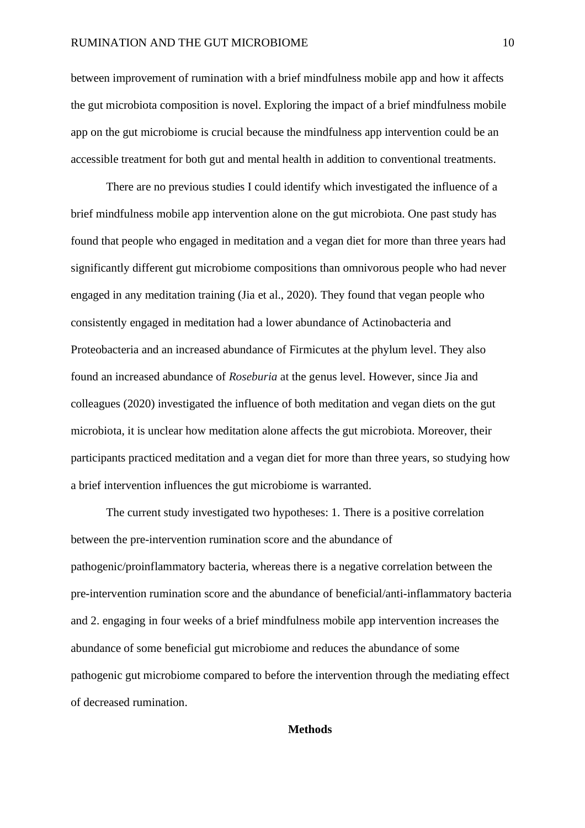between improvement of rumination with a brief mindfulness mobile app and how it affects the gut microbiota composition is novel. Exploring the impact of a brief mindfulness mobile app on the gut microbiome is crucial because the mindfulness app intervention could be an accessible treatment for both gut and mental health in addition to conventional treatments.

There are no previous studies I could identify which investigated the influence of a brief mindfulness mobile app intervention alone on the gut microbiota. One past study has found that people who engaged in meditation and a vegan diet for more than three years had significantly different gut microbiome compositions than omnivorous people who had never engaged in any meditation training (Jia et al., 2020). They found that vegan people who consistently engaged in meditation had a lower abundance of Actinobacteria and Proteobacteria and an increased abundance of Firmicutes at the phylum level. They also found an increased abundance of *Roseburia* at the genus level. However, since Jia and colleagues (2020) investigated the influence of both meditation and vegan diets on the gut microbiota, it is unclear how meditation alone affects the gut microbiota. Moreover, their participants practiced meditation and a vegan diet for more than three years, so studying how a brief intervention influences the gut microbiome is warranted.

The current study investigated two hypotheses: 1. There is a positive correlation between the pre-intervention rumination score and the abundance of pathogenic/proinflammatory bacteria, whereas there is a negative correlation between the pre-intervention rumination score and the abundance of beneficial/anti-inflammatory bacteria and 2. engaging in four weeks of a brief mindfulness mobile app intervention increases the abundance of some beneficial gut microbiome and reduces the abundance of some pathogenic gut microbiome compared to before the intervention through the mediating effect of decreased rumination.

#### **Methods**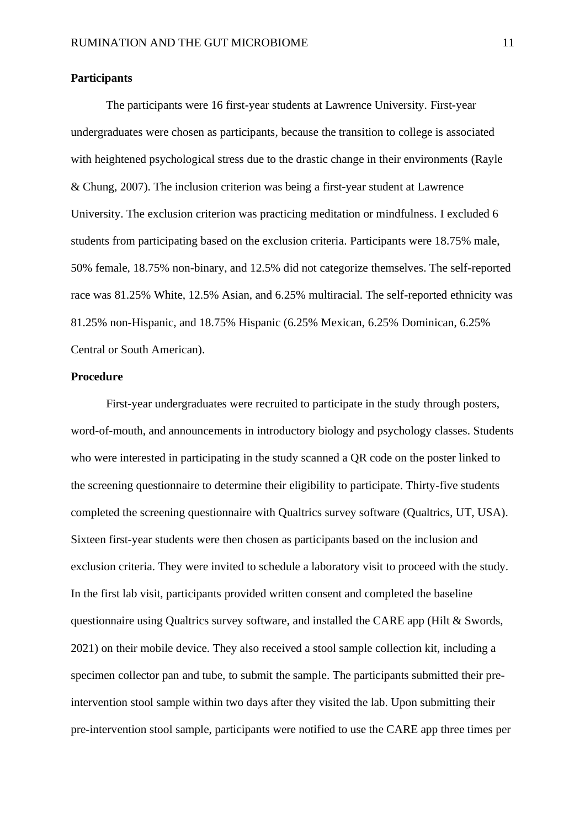#### **Participants**

The participants were 16 first-year students at Lawrence University. First-year undergraduates were chosen as participants, because the transition to college is associated with heightened psychological stress due to the drastic change in their environments (Rayle & Chung, 2007). The inclusion criterion was being a first-year student at Lawrence University. The exclusion criterion was practicing meditation or mindfulness. I excluded 6 students from participating based on the exclusion criteria. Participants were 18.75% male, 50% female, 18.75% non-binary, and 12.5% did not categorize themselves. The self-reported race was 81.25% White, 12.5% Asian, and 6.25% multiracial. The self-reported ethnicity was 81.25% non-Hispanic, and 18.75% Hispanic (6.25% Mexican, 6.25% Dominican, 6.25% Central or South American).

#### **Procedure**

First-year undergraduates were recruited to participate in the study through posters, word-of-mouth, and announcements in introductory biology and psychology classes. Students who were interested in participating in the study scanned a QR code on the poster linked to the screening questionnaire to determine their eligibility to participate. Thirty-five students completed the screening questionnaire with Qualtrics survey software (Qualtrics, UT, USA). Sixteen first-year students were then chosen as participants based on the inclusion and exclusion criteria. They were invited to schedule a laboratory visit to proceed with the study. In the first lab visit, participants provided written consent and completed the baseline questionnaire using Qualtrics survey software, and installed the CARE app (Hilt & Swords, 2021) on their mobile device. They also received a stool sample collection kit, including a specimen collector pan and tube, to submit the sample. The participants submitted their preintervention stool sample within two days after they visited the lab. Upon submitting their pre-intervention stool sample, participants were notified to use the CARE app three times per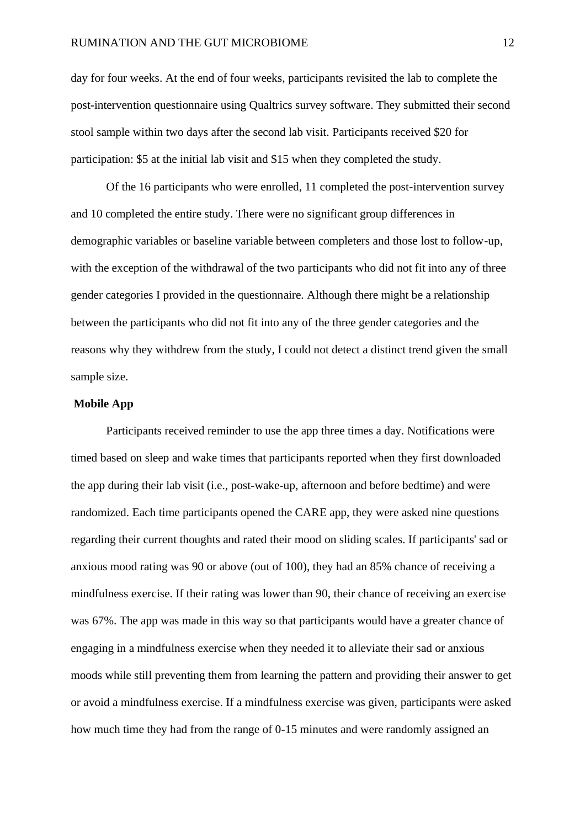day for four weeks. At the end of four weeks, participants revisited the lab to complete the post-intervention questionnaire using Qualtrics survey software. They submitted their second stool sample within two days after the second lab visit. Participants received \$20 for participation: \$5 at the initial lab visit and \$15 when they completed the study.

Of the 16 participants who were enrolled, 11 completed the post-intervention survey and 10 completed the entire study. There were no significant group differences in demographic variables or baseline variable between completers and those lost to follow-up, with the exception of the withdrawal of the two participants who did not fit into any of three gender categories I provided in the questionnaire. Although there might be a relationship between the participants who did not fit into any of the three gender categories and the reasons why they withdrew from the study, I could not detect a distinct trend given the small sample size.

### **Mobile App**

Participants received reminder to use the app three times a day. Notifications were timed based on sleep and wake times that participants reported when they first downloaded the app during their lab visit (i.e., post-wake-up, afternoon and before bedtime) and were randomized. Each time participants opened the CARE app, they were asked nine questions regarding their current thoughts and rated their mood on sliding scales. If participants' sad or anxious mood rating was 90 or above (out of 100), they had an 85% chance of receiving a mindfulness exercise. If their rating was lower than 90, their chance of receiving an exercise was 67%. The app was made in this way so that participants would have a greater chance of engaging in a mindfulness exercise when they needed it to alleviate their sad or anxious moods while still preventing them from learning the pattern and providing their answer to get or avoid a mindfulness exercise. If a mindfulness exercise was given, participants were asked how much time they had from the range of 0-15 minutes and were randomly assigned an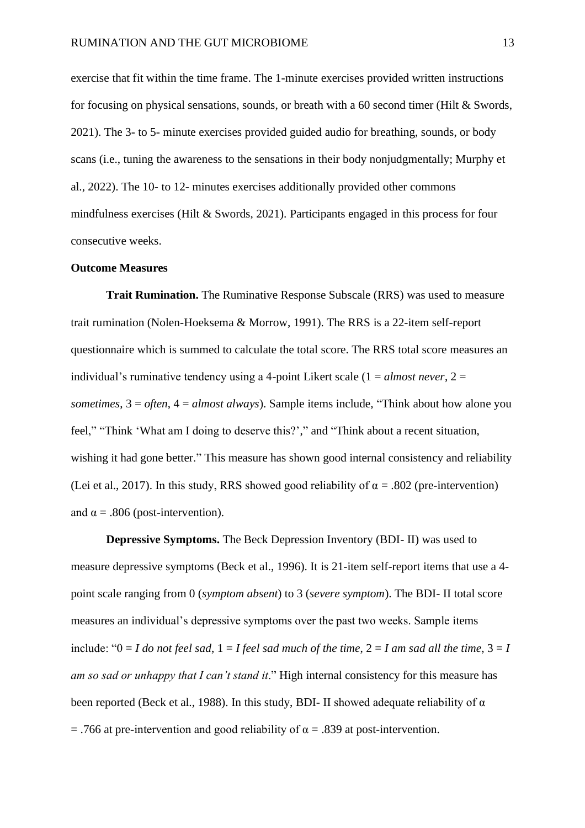exercise that fit within the time frame. The 1-minute exercises provided written instructions for focusing on physical sensations, sounds, or breath with a 60 second timer (Hilt & Swords, 2021). The 3- to 5- minute exercises provided guided audio for breathing, sounds, or body scans (i.e., tuning the awareness to the sensations in their body nonjudgmentally; Murphy et al., 2022). The 10- to 12- minutes exercises additionally provided other commons mindfulness exercises (Hilt & Swords, 2021). Participants engaged in this process for four consecutive weeks.

#### **Outcome Measures**

**Trait Rumination.** The Ruminative Response Subscale (RRS) was used to measure trait rumination (Nolen-Hoeksema & Morrow, 1991). The RRS is a 22-item self-report questionnaire which is summed to calculate the total score. The RRS total score measures an individual's ruminative tendency using a 4-point Likert scale (1 = *almost never*, 2 = *sometimes*, 3 = *often*, 4 = *almost always*). Sample items include*,* "Think about how alone you feel," "Think 'What am I doing to deserve this?'," and "Think about a recent situation, wishing it had gone better." This measure has shown good internal consistency and reliability (Lei et al., 2017). In this study, RRS showed good reliability of  $\alpha = .802$  (pre-intervention) and  $\alpha = .806$  (post-intervention).

**Depressive Symptoms.** The Beck Depression Inventory (BDI- II) was used to measure depressive symptoms (Beck et al., 1996). It is 21-item self-report items that use a 4 point scale ranging from 0 (*symptom absent*) to 3 (*severe symptom*). The BDI- II total score measures an individual's depressive symptoms over the past two weeks. Sample items include: " $0 = I$  do not feel sad,  $1 = I$  feel sad much of the time,  $2 = I$  am sad all the time,  $3 = I$ *am so sad or unhappy that I can't stand it*." High internal consistency for this measure has been reported (Beck et al., 1988). In this study, BDI- II showed adequate reliability of α  $=$  .766 at pre-intervention and good reliability of  $\alpha = .839$  at post-intervention.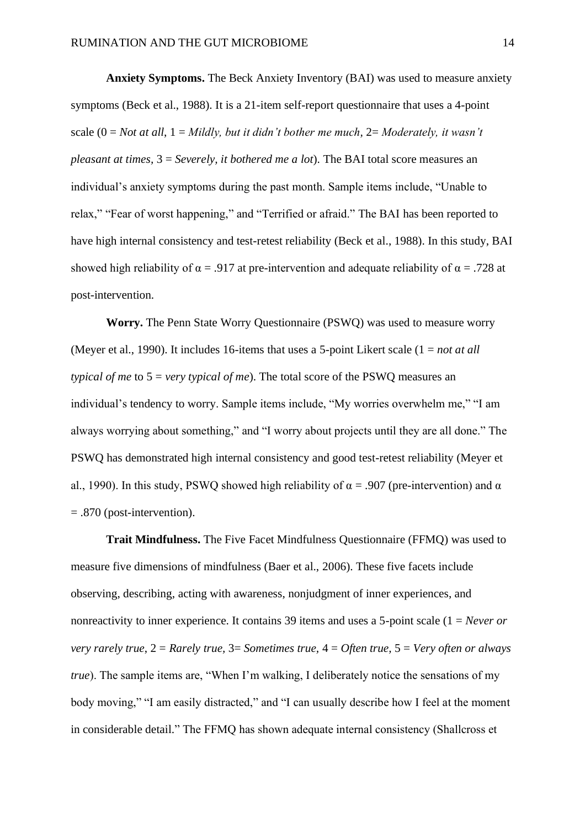**Anxiety Symptoms.** The Beck Anxiety Inventory (BAI) was used to measure anxiety symptoms (Beck et al., 1988). It is a 21-item self-report questionnaire that uses a 4-point scale (0 = *Not at all*, 1 = *Mildly, but it didn't bother me much,* 2= *Moderately, it wasn't pleasant at times,* 3 = *Severely, it bothered me a lot*). The BAI total score measures an individual's anxiety symptoms during the past month. Sample items include, "Unable to relax," "Fear of worst happening," and "Terrified or afraid." The BAI has been reported to have high internal consistency and test-retest reliability (Beck et al., 1988). In this study, BAI showed high reliability of  $\alpha = .917$  at pre-intervention and adequate reliability of  $\alpha = .728$  at post-intervention.

**Worry.** The Penn State Worry Questionnaire (PSWQ) was used to measure worry (Meyer et al., 1990). It includes 16-items that uses a 5-point Likert scale (1 = *not at all typical of me* to 5 = *very typical of me*). The total score of the PSWQ measures an individual's tendency to worry. Sample items include, "My worries overwhelm me," "I am always worrying about something," and "I worry about projects until they are all done." The PSWQ has demonstrated high internal consistency and good test-retest reliability (Meyer et al., 1990). In this study, PSWQ showed high reliability of  $\alpha$  = .907 (pre-intervention) and  $\alpha$ = .870 (post-intervention).

**Trait Mindfulness.** The Five Facet Mindfulness Questionnaire (FFMQ) was used to measure five dimensions of mindfulness (Baer et al., 2006). These five facets include observing, describing, acting with awareness, nonjudgment of inner experiences, and nonreactivity to inner experience. It contains 39 items and uses a 5-point scale (1 = *Never or very rarely true*, 2 = *Rarely true,* 3= *Sometimes true,* 4 = *Often true,* 5 = *Very often or always true*). The sample items are, "When I'm walking, I deliberately notice the sensations of my body moving," "I am easily distracted," and "I can usually describe how I feel at the moment in considerable detail." The FFMQ has shown adequate internal consistency (Shallcross et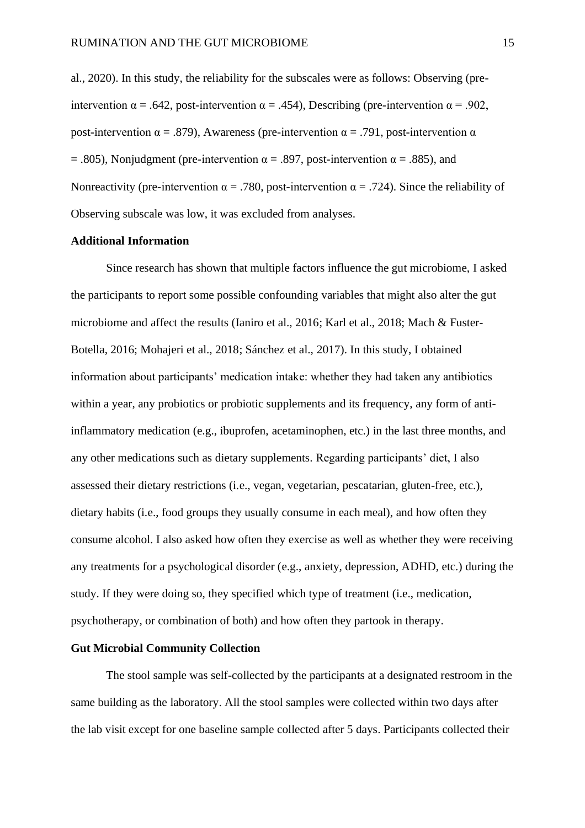al., 2020). In this study, the reliability for the subscales were as follows: Observing (preintervention  $\alpha = .642$ , post-intervention  $\alpha = .454$ ), Describing (pre-intervention  $\alpha = .902$ , post-intervention α = .879), Awareness (pre-intervention α = .791, post-intervention α = .805), Nonjudgment (pre-intervention  $\alpha$  = .897, post-intervention  $\alpha$  = .885), and Nonreactivity (pre-intervention  $\alpha = .780$ , post-intervention  $\alpha = .724$ ). Since the reliability of Observing subscale was low, it was excluded from analyses.

#### **Additional Information**

Since research has shown that multiple factors influence the gut microbiome, I asked the participants to report some possible confounding variables that might also alter the gut microbiome and affect the results (Ianiro et al., 2016; Karl et al., 2018; Mach & Fuster-Botella, 2016; Mohajeri et al., 2018; Sánchez et al., 2017). In this study, I obtained information about participants' medication intake: whether they had taken any antibiotics within a year, any probiotics or probiotic supplements and its frequency, any form of antiinflammatory medication (e.g., ibuprofen, acetaminophen, etc.) in the last three months, and any other medications such as dietary supplements. Regarding participants' diet, I also assessed their dietary restrictions (i.e., vegan, vegetarian, pescatarian, gluten-free, etc.), dietary habits (i.e., food groups they usually consume in each meal), and how often they consume alcohol. I also asked how often they exercise as well as whether they were receiving any treatments for a psychological disorder (e.g., anxiety, depression, ADHD, etc.) during the study. If they were doing so, they specified which type of treatment (i.e., medication, psychotherapy, or combination of both) and how often they partook in therapy.

#### **Gut Microbial Community Collection**

The stool sample was self-collected by the participants at a designated restroom in the same building as the laboratory. All the stool samples were collected within two days after the lab visit except for one baseline sample collected after 5 days. Participants collected their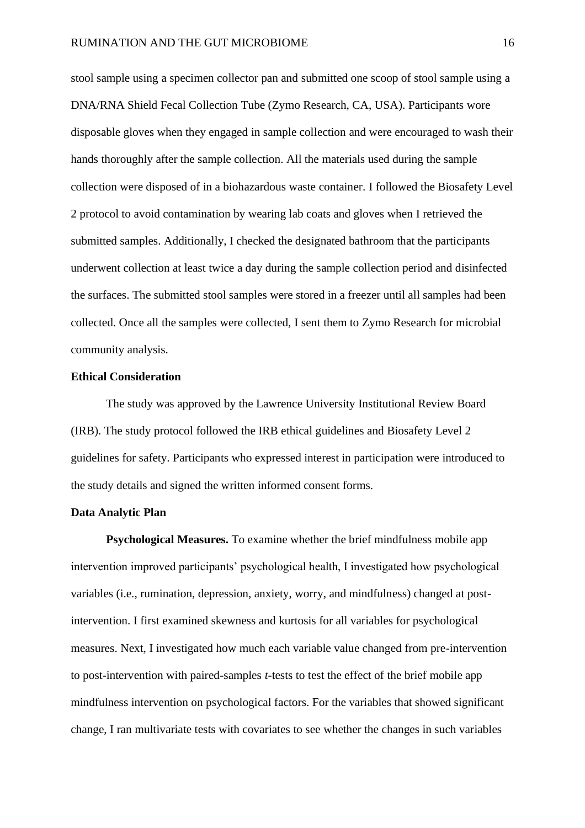stool sample using a specimen collector pan and submitted one scoop of stool sample using a DNA/RNA Shield Fecal Collection Tube (Zymo Research, CA, USA). Participants wore disposable gloves when they engaged in sample collection and were encouraged to wash their hands thoroughly after the sample collection. All the materials used during the sample collection were disposed of in a biohazardous waste container. I followed the Biosafety Level 2 protocol to avoid contamination by wearing lab coats and gloves when I retrieved the submitted samples. Additionally, I checked the designated bathroom that the participants underwent collection at least twice a day during the sample collection period and disinfected the surfaces. The submitted stool samples were stored in a freezer until all samples had been collected. Once all the samples were collected, I sent them to Zymo Research for microbial community analysis.

#### **Ethical Consideration**

The study was approved by the Lawrence University Institutional Review Board (IRB). The study protocol followed the IRB ethical guidelines and Biosafety Level 2 guidelines for safety. Participants who expressed interest in participation were introduced to the study details and signed the written informed consent forms.

#### **Data Analytic Plan**

**Psychological Measures.** To examine whether the brief mindfulness mobile app intervention improved participants' psychological health, I investigated how psychological variables (i.e., rumination, depression, anxiety, worry, and mindfulness) changed at postintervention. I first examined skewness and kurtosis for all variables for psychological measures. Next, I investigated how much each variable value changed from pre-intervention to post-intervention with paired-samples *t*-tests to test the effect of the brief mobile app mindfulness intervention on psychological factors. For the variables that showed significant change, I ran multivariate tests with covariates to see whether the changes in such variables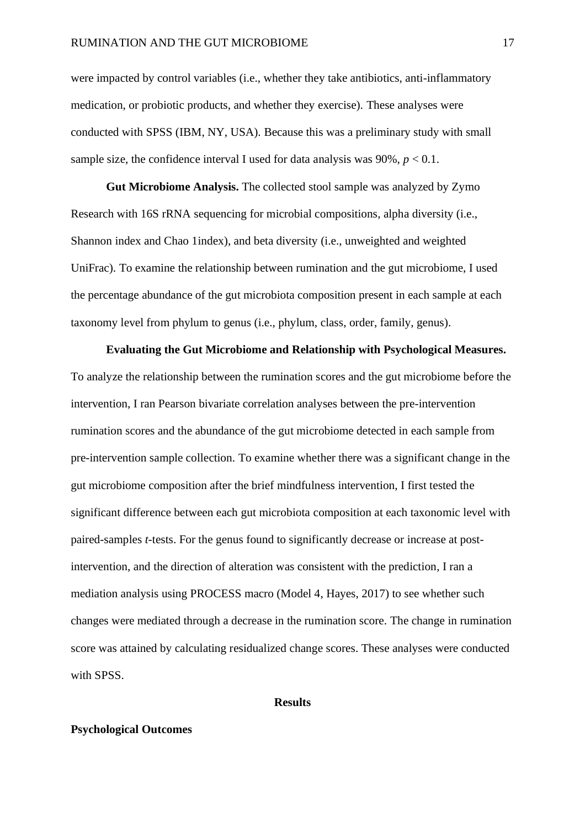were impacted by control variables (i.e., whether they take antibiotics, anti-inflammatory medication, or probiotic products, and whether they exercise). These analyses were conducted with SPSS (IBM, NY, USA). Because this was a preliminary study with small sample size, the confidence interval I used for data analysis was  $90\%$ ,  $p < 0.1$ .

**Gut Microbiome Analysis.** The collected stool sample was analyzed by Zymo Research with 16S rRNA sequencing for microbial compositions, alpha diversity (i.e., Shannon index and Chao 1index), and beta diversity (i.e., unweighted and weighted UniFrac). To examine the relationship between rumination and the gut microbiome, I used the percentage abundance of the gut microbiota composition present in each sample at each taxonomy level from phylum to genus (i.e., phylum, class, order, family, genus).

**Evaluating the Gut Microbiome and Relationship with Psychological Measures.**  To analyze the relationship between the rumination scores and the gut microbiome before the intervention, I ran Pearson bivariate correlation analyses between the pre-intervention rumination scores and the abundance of the gut microbiome detected in each sample from pre-intervention sample collection. To examine whether there was a significant change in the gut microbiome composition after the brief mindfulness intervention, I first tested the significant difference between each gut microbiota composition at each taxonomic level with paired-samples *t*-tests. For the genus found to significantly decrease or increase at postintervention, and the direction of alteration was consistent with the prediction, I ran a mediation analysis using PROCESS macro (Model 4, Hayes, 2017) to see whether such changes were mediated through a decrease in the rumination score. The change in rumination score was attained by calculating residualized change scores. These analyses were conducted with SPSS.

#### **Results**

#### **Psychological Outcomes**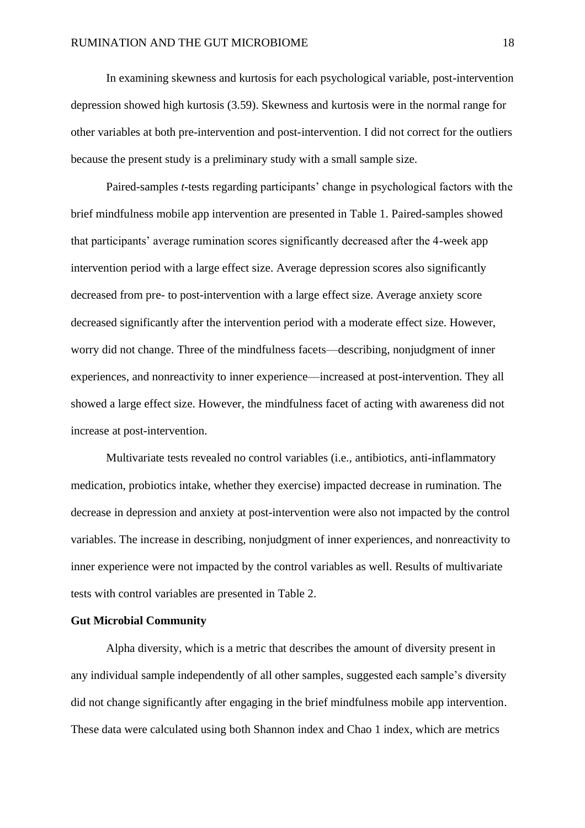In examining skewness and kurtosis for each psychological variable, post-intervention depression showed high kurtosis (3.59). Skewness and kurtosis were in the normal range for other variables at both pre-intervention and post-intervention. I did not correct for the outliers because the present study is a preliminary study with a small sample size.

Paired-samples *t*-tests regarding participants' change in psychological factors with the brief mindfulness mobile app intervention are presented in Table 1. Paired-samples showed that participants' average rumination scores significantly decreased after the 4-week app intervention period with a large effect size. Average depression scores also significantly decreased from pre- to post-intervention with a large effect size. Average anxiety score decreased significantly after the intervention period with a moderate effect size. However, worry did not change. Three of the mindfulness facets—describing, nonjudgment of inner experiences, and nonreactivity to inner experience—increased at post-intervention. They all showed a large effect size. However, the mindfulness facet of acting with awareness did not increase at post-intervention.

Multivariate tests revealed no control variables (i.e., antibiotics, anti-inflammatory medication, probiotics intake, whether they exercise) impacted decrease in rumination. The decrease in depression and anxiety at post-intervention were also not impacted by the control variables. The increase in describing, nonjudgment of inner experiences, and nonreactivity to inner experience were not impacted by the control variables as well. Results of multivariate tests with control variables are presented in Table 2.

#### **Gut Microbial Community**

Alpha diversity, which is a metric that describes the amount of diversity present in any individual sample independently of all other samples, suggested each sample's diversity did not change significantly after engaging in the brief mindfulness mobile app intervention. These data were calculated using both Shannon index and Chao 1 index, which are metrics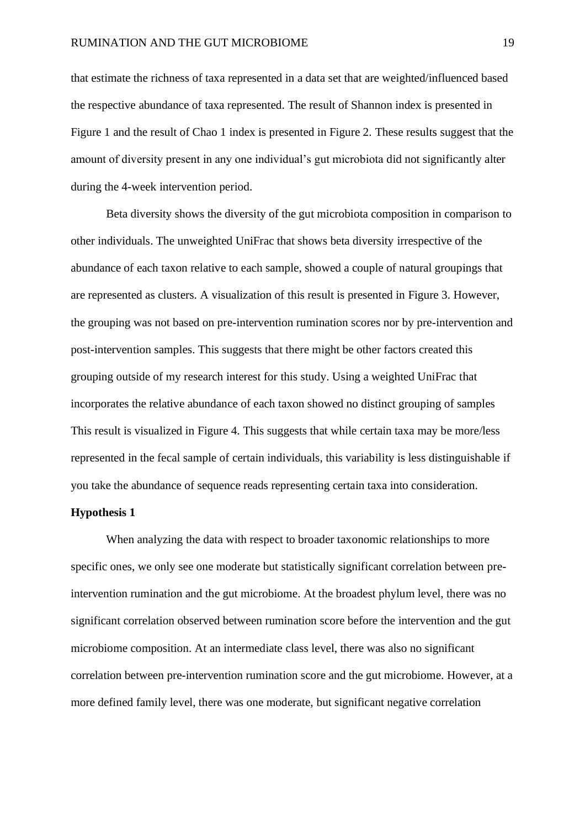that estimate the richness of taxa represented in a data set that are weighted/influenced based the respective abundance of taxa represented. The result of Shannon index is presented in Figure 1 and the result of Chao 1 index is presented in Figure 2. These results suggest that the amount of diversity present in any one individual's gut microbiota did not significantly alter during the 4-week intervention period.

Beta diversity shows the diversity of the gut microbiota composition in comparison to other individuals. The unweighted UniFrac that shows beta diversity irrespective of the abundance of each taxon relative to each sample, showed a couple of natural groupings that are represented as clusters. A visualization of this result is presented in Figure 3. However, the grouping was not based on pre-intervention rumination scores nor by pre-intervention and post-intervention samples. This suggests that there might be other factors created this grouping outside of my research interest for this study. Using a weighted UniFrac that incorporates the relative abundance of each taxon showed no distinct grouping of samples This result is visualized in Figure 4. This suggests that while certain taxa may be more/less represented in the fecal sample of certain individuals, this variability is less distinguishable if you take the abundance of sequence reads representing certain taxa into consideration.

#### **Hypothesis 1**

When analyzing the data with respect to broader taxonomic relationships to more specific ones, we only see one moderate but statistically significant correlation between preintervention rumination and the gut microbiome. At the broadest phylum level, there was no significant correlation observed between rumination score before the intervention and the gut microbiome composition. At an intermediate class level, there was also no significant correlation between pre-intervention rumination score and the gut microbiome. However, at a more defined family level, there was one moderate, but significant negative correlation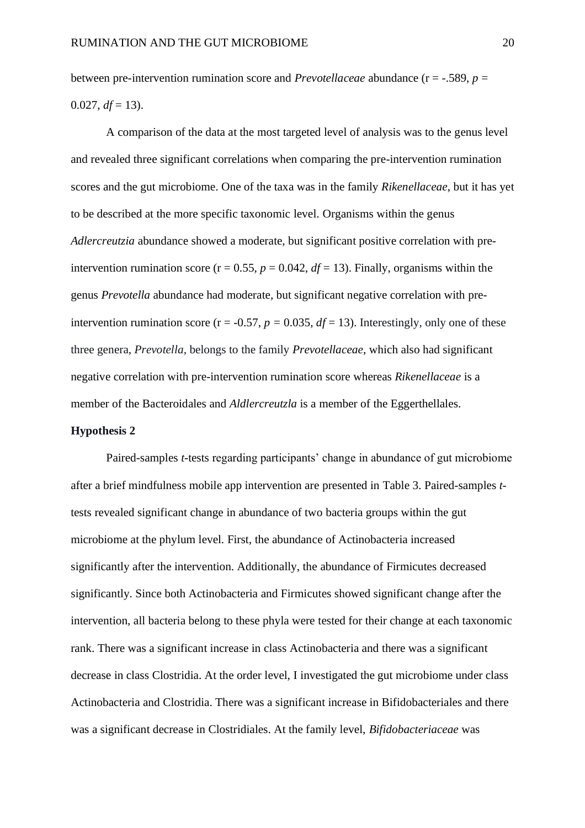between pre-intervention rumination score and *Prevotellaceae* abundance (r = -.589, *p* =  $0.027, df = 13$ ).

A comparison of the data at the most targeted level of analysis was to the genus level and revealed three significant correlations when comparing the pre-intervention rumination scores and the gut microbiome. One of the taxa was in the family *Rikenellaceae*, but it has yet to be described at the more specific taxonomic level. Organisms within the genus *Adlercreutzia* abundance showed a moderate, but significant positive correlation with preintervention rumination score ( $r = 0.55$ ,  $p = 0.042$ ,  $df = 13$ ). Finally, organisms within the genus *Prevotella* abundance had moderate, but significant negative correlation with preintervention rumination score ( $r = -0.57$ ,  $p = 0.035$ ,  $df = 13$ ). Interestingly, only one of these three genera, *Prevotella*, belongs to the family *Prevotellaceae*, which also had significant negative correlation with pre-intervention rumination score whereas *Rikenellaceae* is a member of the Bacteroidales and *Aldlercreutzla* is a member of the Eggerthellales.

### **Hypothesis 2**

Paired-samples *t*-tests regarding participants' change in abundance of gut microbiome after a brief mindfulness mobile app intervention are presented in Table 3. Paired-samples *t*tests revealed significant change in abundance of two bacteria groups within the gut microbiome at the phylum level. First, the abundance of Actinobacteria increased significantly after the intervention. Additionally, the abundance of Firmicutes decreased significantly. Since both Actinobacteria and Firmicutes showed significant change after the intervention, all bacteria belong to these phyla were tested for their change at each taxonomic rank. There was a significant increase in class Actinobacteria and there was a significant decrease in class Clostridia. At the order level, I investigated the gut microbiome under class Actinobacteria and Clostridia. There was a significant increase in Bifidobacteriales and there was a significant decrease in Clostridiales. At the family level, *Bifidobacteriaceae* was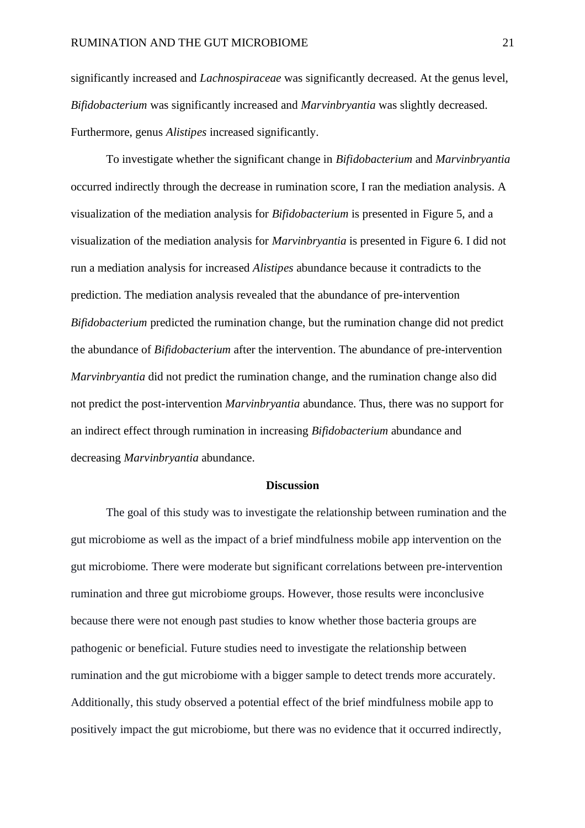significantly increased and *Lachnospiraceae* was significantly decreased. At the genus level, *Bifidobacterium* was significantly increased and *Marvinbryantia* was slightly decreased. Furthermore, genus *Alistipes* increased significantly.

To investigate whether the significant change in *Bifidobacterium* and *Marvinbryantia* occurred indirectly through the decrease in rumination score, I ran the mediation analysis. A visualization of the mediation analysis for *Bifidobacterium* is presented in Figure 5, and a visualization of the mediation analysis for *Marvinbryantia* is presented in Figure 6. I did not run a mediation analysis for increased *Alistipes* abundance because it contradicts to the prediction. The mediation analysis revealed that the abundance of pre-intervention *Bifidobacterium* predicted the rumination change, but the rumination change did not predict the abundance of *Bifidobacterium* after the intervention. The abundance of pre-intervention *Marvinbryantia* did not predict the rumination change, and the rumination change also did not predict the post-intervention *Marvinbryantia* abundance. Thus, there was no support for an indirect effect through rumination in increasing *Bifidobacterium* abundance and decreasing *Marvinbryantia* abundance.

#### **Discussion**

The goal of this study was to investigate the relationship between rumination and the gut microbiome as well as the impact of a brief mindfulness mobile app intervention on the gut microbiome. There were moderate but significant correlations between pre-intervention rumination and three gut microbiome groups. However, those results were inconclusive because there were not enough past studies to know whether those bacteria groups are pathogenic or beneficial. Future studies need to investigate the relationship between rumination and the gut microbiome with a bigger sample to detect trends more accurately. Additionally, this study observed a potential effect of the brief mindfulness mobile app to positively impact the gut microbiome, but there was no evidence that it occurred indirectly,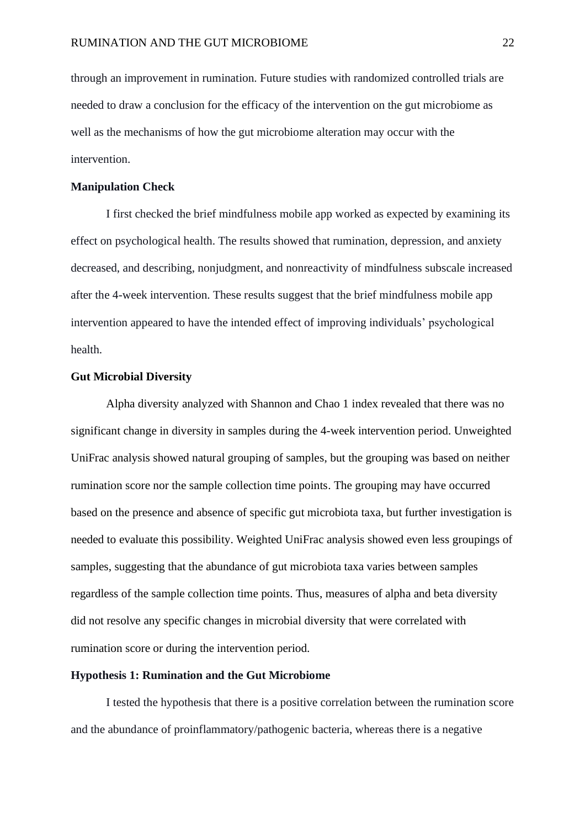through an improvement in rumination. Future studies with randomized controlled trials are needed to draw a conclusion for the efficacy of the intervention on the gut microbiome as well as the mechanisms of how the gut microbiome alteration may occur with the intervention.

#### **Manipulation Check**

I first checked the brief mindfulness mobile app worked as expected by examining its effect on psychological health. The results showed that rumination, depression, and anxiety decreased, and describing, nonjudgment, and nonreactivity of mindfulness subscale increased after the 4-week intervention. These results suggest that the brief mindfulness mobile app intervention appeared to have the intended effect of improving individuals' psychological health.

#### **Gut Microbial Diversity**

Alpha diversity analyzed with Shannon and Chao 1 index revealed that there was no significant change in diversity in samples during the 4-week intervention period. Unweighted UniFrac analysis showed natural grouping of samples, but the grouping was based on neither rumination score nor the sample collection time points. The grouping may have occurred based on the presence and absence of specific gut microbiota taxa, but further investigation is needed to evaluate this possibility. Weighted UniFrac analysis showed even less groupings of samples, suggesting that the abundance of gut microbiota taxa varies between samples regardless of the sample collection time points. Thus, measures of alpha and beta diversity did not resolve any specific changes in microbial diversity that were correlated with rumination score or during the intervention period.

#### **Hypothesis 1: Rumination and the Gut Microbiome**

I tested the hypothesis that there is a positive correlation between the rumination score and the abundance of proinflammatory/pathogenic bacteria, whereas there is a negative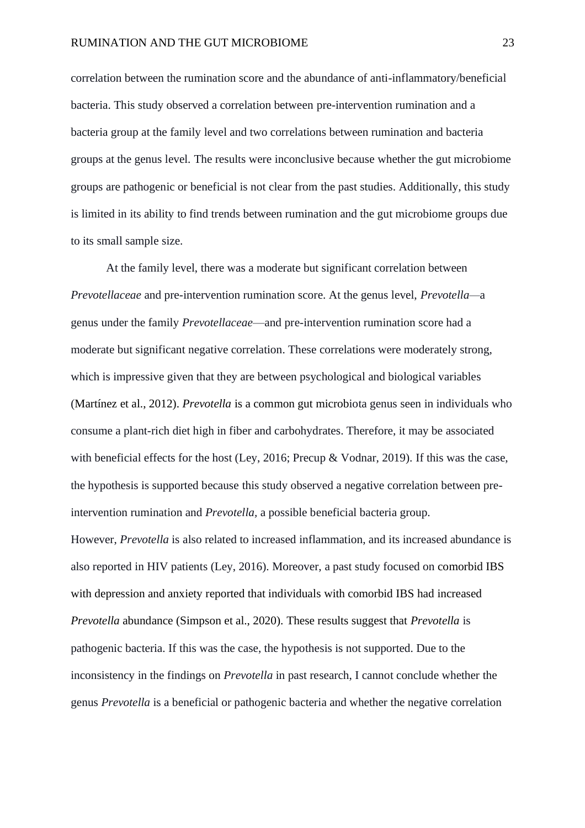correlation between the rumination score and the abundance of anti-inflammatory/beneficial bacteria. This study observed a correlation between pre-intervention rumination and a bacteria group at the family level and two correlations between rumination and bacteria groups at the genus level. The results were inconclusive because whether the gut microbiome groups are pathogenic or beneficial is not clear from the past studies. Additionally, this study is limited in its ability to find trends between rumination and the gut microbiome groups due to its small sample size.

At the family level, there was a moderate but significant correlation between *Prevotellaceae* and pre-intervention rumination score. At the genus level, *Prevotella—*a genus under the family *Prevotellaceae*—and pre-intervention rumination score had a moderate but significant negative correlation. These correlations were moderately strong, which is impressive given that they are between psychological and biological variables (Martínez et al., 2012). *Prevotella* is a common gut microbiota genus seen in individuals who consume a plant-rich diet high in fiber and carbohydrates. Therefore, it may be associated with beneficial effects for the host (Ley, 2016; Precup & Vodnar, 2019). If this was the case, the hypothesis is supported because this study observed a negative correlation between preintervention rumination and *Prevotella,* a possible beneficial bacteria group.

However, *Prevotella* is also related to increased inflammation, and its increased abundance is also reported in HIV patients (Ley, 2016). Moreover, a past study focused on comorbid IBS with depression and anxiety reported that individuals with comorbid IBS had increased *Prevotella* abundance (Simpson et al., 2020). These results suggest that *Prevotella* is pathogenic bacteria. If this was the case, the hypothesis is not supported. Due to the inconsistency in the findings on *Prevotella* in past research, I cannot conclude whether the genus *Prevotella* is a beneficial or pathogenic bacteria and whether the negative correlation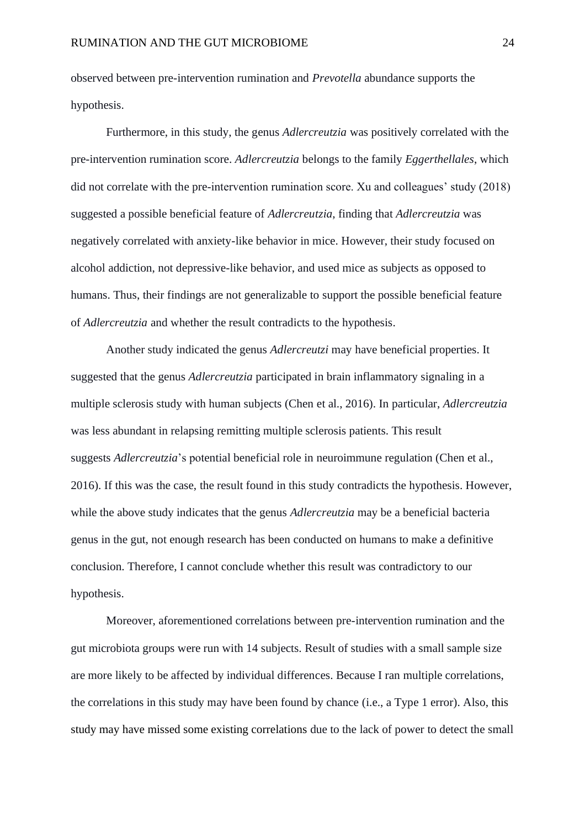observed between pre-intervention rumination and *Prevotella* abundance supports the hypothesis.

Furthermore, in this study, the genus *Adlercreutzia* was positively correlated with the pre-intervention rumination score. *Adlercreutzia* belongs to the family *Eggerthellales*, which did not correlate with the pre-intervention rumination score. Xu and colleagues' study (2018) suggested a possible beneficial feature of *Adlercreutzia*, finding that *Adlercreutzia* was negatively correlated with anxiety-like behavior in mice. However, their study focused on alcohol addiction, not depressive-like behavior, and used mice as subjects as opposed to humans. Thus, their findings are not generalizable to support the possible beneficial feature of *Adlercreutzia* and whether the result contradicts to the hypothesis.

Another study indicated the genus *Adlercreutzi* may have beneficial properties. It suggested that the genus *Adlercreutzia* participated in brain inflammatory signaling in a multiple sclerosis study with human subjects (Chen et al., 2016). In particular, *Adlercreutzia* was less abundant in relapsing remitting multiple sclerosis patients. This result suggests *Adlercreutzia*'s potential beneficial role in neuroimmune regulation (Chen et al., 2016). If this was the case, the result found in this study contradicts the hypothesis. However, while the above study indicates that the genus *Adlercreutzia* may be a beneficial bacteria genus in the gut, not enough research has been conducted on humans to make a definitive conclusion. Therefore, I cannot conclude whether this result was contradictory to our hypothesis.

Moreover, aforementioned correlations between pre-intervention rumination and the gut microbiota groups were run with 14 subjects. Result of studies with a small sample size are more likely to be affected by individual differences. Because I ran multiple correlations, the correlations in this study may have been found by chance (i.e., a Type 1 error). Also, this study may have missed some existing correlations due to the lack of power to detect the small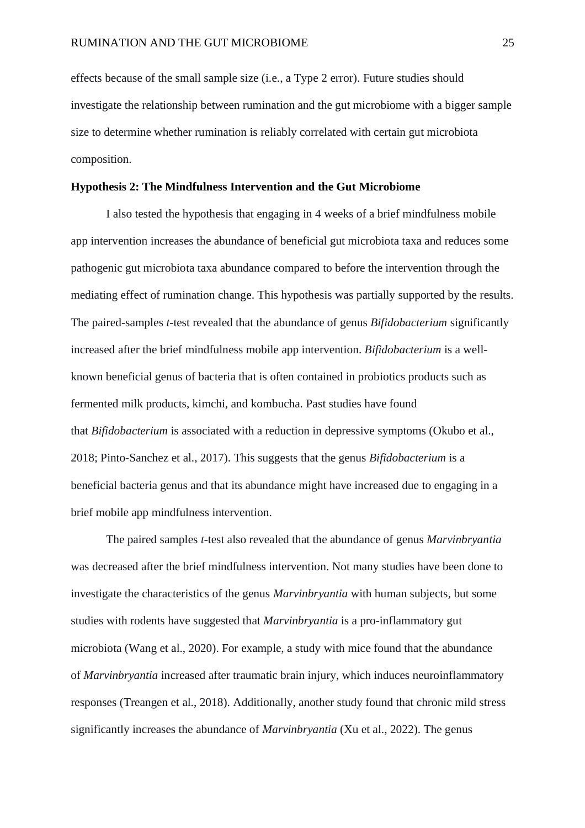effects because of the small sample size (i.e., a Type 2 error). Future studies should investigate the relationship between rumination and the gut microbiome with a bigger sample size to determine whether rumination is reliably correlated with certain gut microbiota composition.

#### **Hypothesis 2: The Mindfulness Intervention and the Gut Microbiome**

I also tested the hypothesis that engaging in 4 weeks of a brief mindfulness mobile app intervention increases the abundance of beneficial gut microbiota taxa and reduces some pathogenic gut microbiota taxa abundance compared to before the intervention through the mediating effect of rumination change. This hypothesis was partially supported by the results. The paired-samples *t*-test revealed that the abundance of genus *Bifidobacterium* significantly increased after the brief mindfulness mobile app intervention. *Bifidobacterium* is a wellknown beneficial genus of bacteria that is often contained in probiotics products such as fermented milk products, kimchi, and kombucha. Past studies have found that *Bifidobacterium* is associated with a reduction in depressive symptoms (Okubo et al., 2018; Pinto-Sanchez et al., 2017). This suggests that the genus *Bifidobacterium* is a beneficial bacteria genus and that its abundance might have increased due to engaging in a brief mobile app mindfulness intervention.

The paired samples *t-*test also revealed that the abundance of genus *Marvinbryantia* was decreased after the brief mindfulness intervention. Not many studies have been done to investigate the characteristics of the genus *Marvinbryantia* with human subjects*,* but some studies with rodents have suggested that *Marvinbryantia* is a pro-inflammatory gut microbiota (Wang et al., 2020). For example, a study with mice found that the abundance of *Marvinbryantia* increased after traumatic brain injury, which induces neuroinflammatory responses (Treangen et al., 2018). Additionally, another study found that chronic mild stress significantly increases the abundance of *Marvinbryantia* (Xu et al., 2022). The genus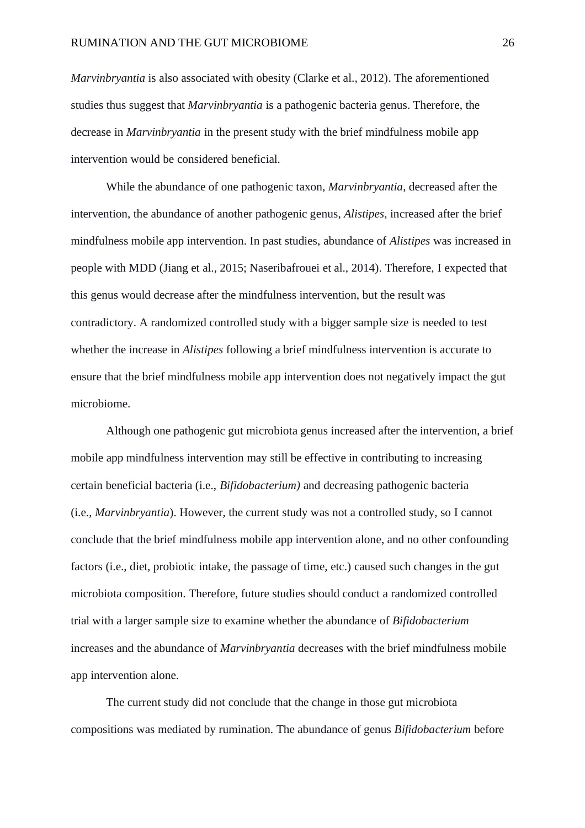*Marvinbryantia* is also associated with obesity (Clarke et al., 2012). The aforementioned studies thus suggest that *Marvinbryantia* is a pathogenic bacteria genus. Therefore, the decrease in *Marvinbryantia* in the present study with the brief mindfulness mobile app intervention would be considered beneficial.

While the abundance of one pathogenic taxon, *Marvinbryantia*, decreased after the intervention, the abundance of another pathogenic genus, *Alistipes*, increased after the brief mindfulness mobile app intervention. In past studies, abundance of *Alistipes* was increased in people with MDD (Jiang et al., 2015; Naseribafrouei et al., 2014). Therefore, I expected that this genus would decrease after the mindfulness intervention, but the result was contradictory. A randomized controlled study with a bigger sample size is needed to test whether the increase in *Alistipes* following a brief mindfulness intervention is accurate to ensure that the brief mindfulness mobile app intervention does not negatively impact the gut microbiome.

Although one pathogenic gut microbiota genus increased after the intervention, a brief mobile app mindfulness intervention may still be effective in contributing to increasing certain beneficial bacteria (i.e., *Bifidobacterium)* and decreasing pathogenic bacteria (i.e., *Marvinbryantia*). However, the current study was not a controlled study, so I cannot conclude that the brief mindfulness mobile app intervention alone, and no other confounding factors (i.e., diet, probiotic intake, the passage of time, etc.) caused such changes in the gut microbiota composition. Therefore, future studies should conduct a randomized controlled trial with a larger sample size to examine whether the abundance of *Bifidobacterium*  increases and the abundance of *Marvinbryantia* decreases with the brief mindfulness mobile app intervention alone.

The current study did not conclude that the change in those gut microbiota compositions was mediated by rumination. The abundance of genus *Bifidobacterium* before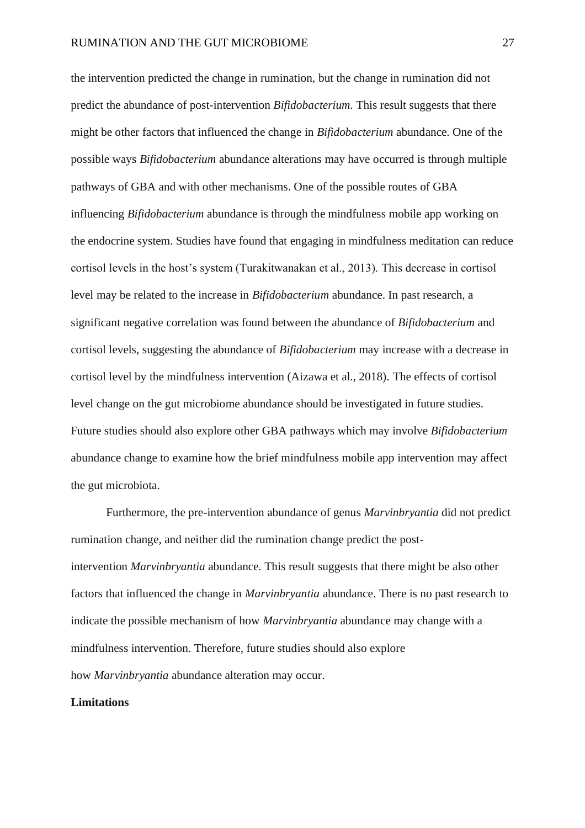the intervention predicted the change in rumination, but the change in rumination did not predict the abundance of post-intervention *Bifidobacterium.* This result suggests that there might be other factors that influenced the change in *Bifidobacterium* abundance. One of the possible ways *Bifidobacterium* abundance alterations may have occurred is through multiple pathways of GBA and with other mechanisms. One of the possible routes of GBA influencing *Bifidobacterium* abundance is through the mindfulness mobile app working on the endocrine system. Studies have found that engaging in mindfulness meditation can reduce cortisol levels in the host's system (Turakitwanakan et al., 2013). This decrease in cortisol level may be related to the increase in *Bifidobacterium* abundance. In past research, a significant negative correlation was found between the abundance of *Bifidobacterium* and cortisol levels, suggesting the abundance of *Bifidobacterium* may increase with a decrease in cortisol level by the mindfulness intervention (Aizawa et al., 2018). The effects of cortisol level change on the gut microbiome abundance should be investigated in future studies. Future studies should also explore other GBA pathways which may involve *Bifidobacterium*  abundance change to examine how the brief mindfulness mobile app intervention may affect the gut microbiota.

Furthermore, the pre-intervention abundance of genus *Marvinbryantia* did not predict rumination change, and neither did the rumination change predict the postintervention *Marvinbryantia* abundance*.* This result suggests that there might be also other factors that influenced the change in *Marvinbryantia* abundance. There is no past research to indicate the possible mechanism of how *Marvinbryantia* abundance may change with a mindfulness intervention. Therefore, future studies should also explore how *Marvinbryantia* abundance alteration may occur.

#### **Limitations**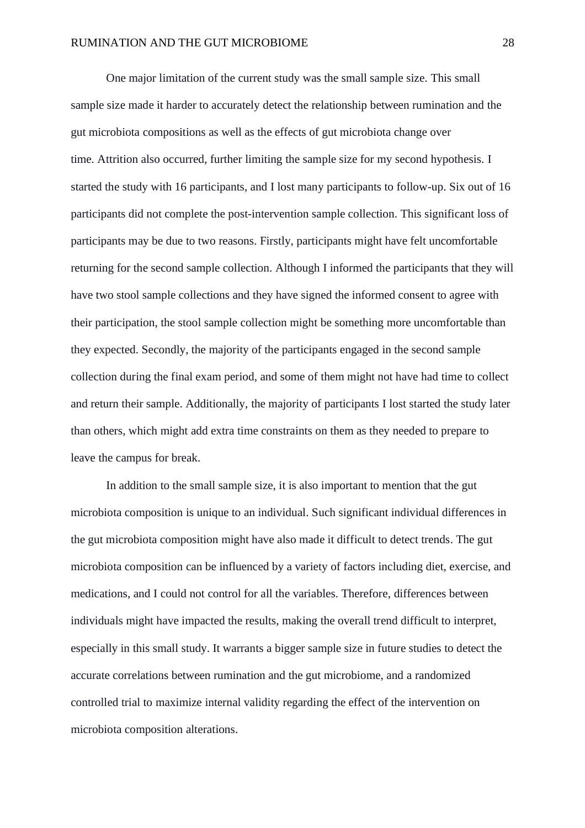One major limitation of the current study was the small sample size. This small sample size made it harder to accurately detect the relationship between rumination and the gut microbiota compositions as well as the effects of gut microbiota change over time. Attrition also occurred, further limiting the sample size for my second hypothesis. I started the study with 16 participants, and I lost many participants to follow-up. Six out of 16 participants did not complete the post-intervention sample collection. This significant loss of participants may be due to two reasons. Firstly, participants might have felt uncomfortable returning for the second sample collection. Although I informed the participants that they will have two stool sample collections and they have signed the informed consent to agree with their participation, the stool sample collection might be something more uncomfortable than they expected. Secondly, the majority of the participants engaged in the second sample collection during the final exam period, and some of them might not have had time to collect and return their sample. Additionally, the majority of participants I lost started the study later than others, which might add extra time constraints on them as they needed to prepare to leave the campus for break.

In addition to the small sample size, it is also important to mention that the gut microbiota composition is unique to an individual. Such significant individual differences in the gut microbiota composition might have also made it difficult to detect trends. The gut microbiota composition can be influenced by a variety of factors including diet, exercise, and medications, and I could not control for all the variables. Therefore, differences between individuals might have impacted the results, making the overall trend difficult to interpret, especially in this small study. It warrants a bigger sample size in future studies to detect the accurate correlations between rumination and the gut microbiome, and a randomized controlled trial to maximize internal validity regarding the effect of the intervention on microbiota composition alterations.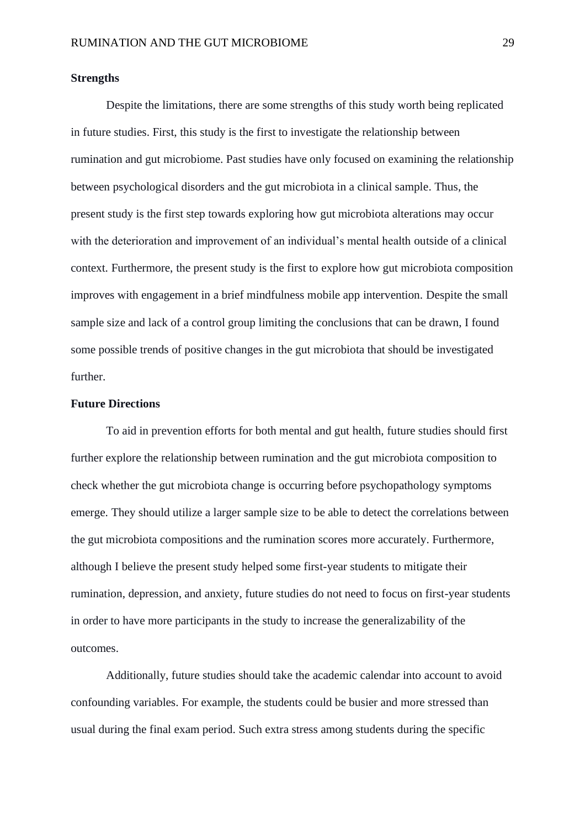#### **Strengths**

Despite the limitations, there are some strengths of this study worth being replicated in future studies. First, this study is the first to investigate the relationship between rumination and gut microbiome. Past studies have only focused on examining the relationship between psychological disorders and the gut microbiota in a clinical sample. Thus, the present study is the first step towards exploring how gut microbiota alterations may occur with the deterioration and improvement of an individual's mental health outside of a clinical context. Furthermore, the present study is the first to explore how gut microbiota composition improves with engagement in a brief mindfulness mobile app intervention. Despite the small sample size and lack of a control group limiting the conclusions that can be drawn, I found some possible trends of positive changes in the gut microbiota that should be investigated further.

#### **Future Directions**

To aid in prevention efforts for both mental and gut health, future studies should first further explore the relationship between rumination and the gut microbiota composition to check whether the gut microbiota change is occurring before psychopathology symptoms emerge. They should utilize a larger sample size to be able to detect the correlations between the gut microbiota compositions and the rumination scores more accurately. Furthermore, although I believe the present study helped some first-year students to mitigate their rumination, depression, and anxiety, future studies do not need to focus on first-year students in order to have more participants in the study to increase the generalizability of the outcomes.

Additionally, future studies should take the academic calendar into account to avoid confounding variables. For example, the students could be busier and more stressed than usual during the final exam period. Such extra stress among students during the specific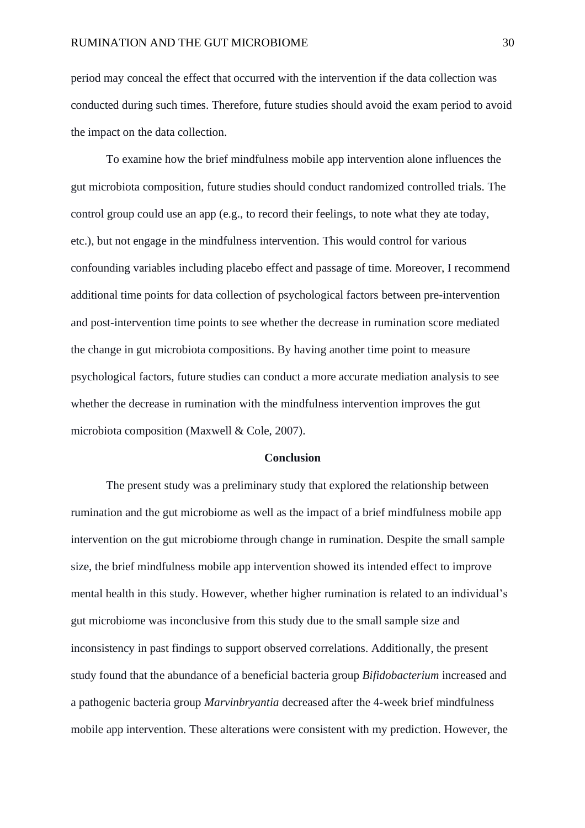period may conceal the effect that occurred with the intervention if the data collection was conducted during such times. Therefore, future studies should avoid the exam period to avoid the impact on the data collection.

To examine how the brief mindfulness mobile app intervention alone influences the gut microbiota composition, future studies should conduct randomized controlled trials. The control group could use an app (e.g., to record their feelings, to note what they ate today, etc.), but not engage in the mindfulness intervention. This would control for various confounding variables including placebo effect and passage of time. Moreover, I recommend additional time points for data collection of psychological factors between pre-intervention and post-intervention time points to see whether the decrease in rumination score mediated the change in gut microbiota compositions. By having another time point to measure psychological factors, future studies can conduct a more accurate mediation analysis to see whether the decrease in rumination with the mindfulness intervention improves the gut microbiota composition (Maxwell & Cole, 2007).

#### **Conclusion**

The present study was a preliminary study that explored the relationship between rumination and the gut microbiome as well as the impact of a brief mindfulness mobile app intervention on the gut microbiome through change in rumination. Despite the small sample size, the brief mindfulness mobile app intervention showed its intended effect to improve mental health in this study. However, whether higher rumination is related to an individual's gut microbiome was inconclusive from this study due to the small sample size and inconsistency in past findings to support observed correlations. Additionally, the present study found that the abundance of a beneficial bacteria group *Bifidobacterium* increased and a pathogenic bacteria group *Marvinbryantia* decreased after the 4-week brief mindfulness mobile app intervention. These alterations were consistent with my prediction. However, the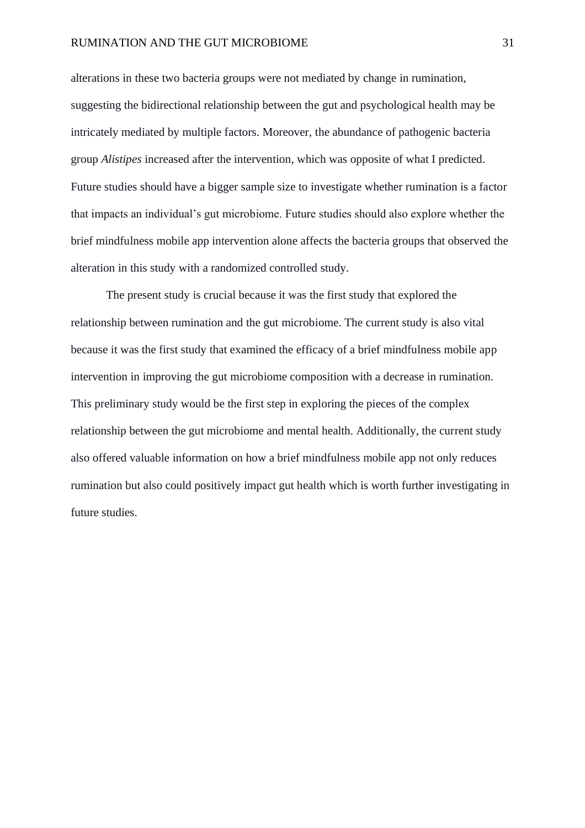alterations in these two bacteria groups were not mediated by change in rumination, suggesting the bidirectional relationship between the gut and psychological health may be intricately mediated by multiple factors. Moreover, the abundance of pathogenic bacteria group *Alistipes* increased after the intervention, which was opposite of what I predicted. Future studies should have a bigger sample size to investigate whether rumination is a factor that impacts an individual's gut microbiome. Future studies should also explore whether the brief mindfulness mobile app intervention alone affects the bacteria groups that observed the alteration in this study with a randomized controlled study.

The present study is crucial because it was the first study that explored the relationship between rumination and the gut microbiome. The current study is also vital because it was the first study that examined the efficacy of a brief mindfulness mobile app intervention in improving the gut microbiome composition with a decrease in rumination. This preliminary study would be the first step in exploring the pieces of the complex relationship between the gut microbiome and mental health. Additionally, the current study also offered valuable information on how a brief mindfulness mobile app not only reduces rumination but also could positively impact gut health which is worth further investigating in future studies.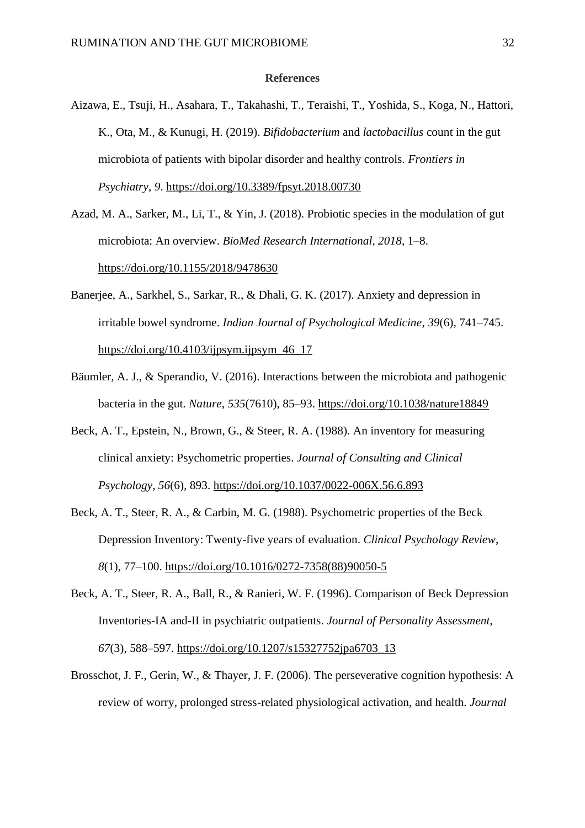#### **References**

- Aizawa, E., Tsuji, H., Asahara, T., Takahashi, T., Teraishi, T., Yoshida, S., Koga, N., Hattori, K., Ota, M., & Kunugi, H. (2019). *Bifidobacterium* and *lactobacillus* count in the gut microbiota of patients with bipolar disorder and healthy controls. *Frontiers in Psychiatry*, *9*. https://doi.org/10.3389/fpsyt.2018.00730
- Azad, M. A., Sarker, M., Li, T., & Yin, J. (2018). Probiotic species in the modulation of gut microbiota: An overview. *BioMed Research International*, *2018*, 1–8. https://doi.org/10.1155/2018/9478630
- Banerjee, A., Sarkhel, S., Sarkar, R., & Dhali, G. K. (2017). Anxiety and depression in irritable bowel syndrome. *Indian Journal of Psychological Medicine*, *39*(6), 741–745. https://doi.org/10.4103/ijpsym.ijpsym $46$  17
- Bäumler, A. J., & Sperandio, V. (2016). Interactions between the microbiota and pathogenic bacteria in the gut. *Nature*, *535*(7610), 85–93.<https://doi.org/10.1038/nature18849>
- Beck, A. T., Epstein, N., Brown, G., & Steer, R. A. (1988). An inventory for measuring clinical anxiety: Psychometric properties. *Journal of Consulting and Clinical Psychology*, *56*(6), 893. [https://doi.org/10.1037/0022-006X.56.6.893](https://psycnet.apa.org/doi/10.1037/0022-006X.56.6.893)
- Beck, A. T., Steer, R. A., & Carbin, M. G. (1988). Psychometric properties of the Beck Depression Inventory: Twenty-five years of evaluation. *Clinical Psychology Review*, *8*(1), 77–100. https://doi.org/10.1016/0272-7358(88)90050-5
- Beck, A. T., Steer, R. A., Ball, R., & Ranieri, W. F. (1996). Comparison of Beck Depression Inventories-IA and-II in psychiatric outpatients. *Journal of Personality Assessment*, *67*(3), 588–597. https://doi.org/10.1207/s15327752jpa6703\_13
- Brosschot, J. F., Gerin, W., & Thayer, J. F. (2006). The perseverative cognition hypothesis: A review of worry, prolonged stress-related physiological activation, and health. *Journal*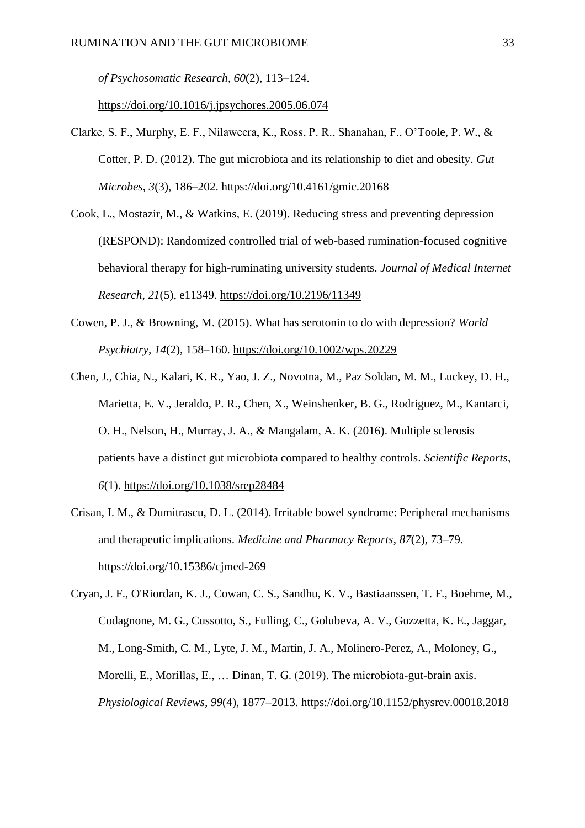*of Psychosomatic Research*, *60*(2), 113–124.

https://doi.org/10.1016/j.jpsychores.2005.06.074

- Clarke, S. F., Murphy, E. F., Nilaweera, K., Ross, P. R., Shanahan, F., O'Toole, P. W., & Cotter, P. D. (2012). The gut microbiota and its relationship to diet and obesity. *Gut Microbes*, *3*(3), 186–202. https://doi.org/10.4161/gmic.20168
- Cook, L., Mostazir, M., & Watkins, E. (2019). Reducing stress and preventing depression (RESPOND): Randomized controlled trial of web-based rumination-focused cognitive behavioral therapy for high-ruminating university students. *Journal of Medical Internet Research*, *21*(5), e11349. https://doi.org/10.2196/11349
- Cowen, P. J., & Browning, M. (2015). What has serotonin to do with depression? *World Psychiatry*, *14*(2), 158–160. https://doi.org/10.1002/wps.20229
- Chen, J., Chia, N., Kalari, K. R., Yao, J. Z., Novotna, M., Paz Soldan, M. M., Luckey, D. H., Marietta, E. V., Jeraldo, P. R., Chen, X., Weinshenker, B. G., Rodriguez, M., Kantarci, O. H., Nelson, H., Murray, J. A., & Mangalam, A. K. (2016). Multiple sclerosis patients have a distinct gut microbiota compared to healthy controls. *Scientific Reports*, *6*(1). https://doi.org/10.1038/srep28484
- Crisan, I. M., & Dumitrascu, D. L. (2014). Irritable bowel syndrome: Peripheral mechanisms and therapeutic implications. *Medicine and Pharmacy Reports*, *87*(2), 73–79. https://doi.org/10.15386/cjmed-269

Cryan, J. F., O'Riordan, K. J., Cowan, C. S., Sandhu, K. V., Bastiaanssen, T. F., Boehme, M., Codagnone, M. G., Cussotto, S., Fulling, C., Golubeva, A. V., Guzzetta, K. E., Jaggar, M., Long-Smith, C. M., Lyte, J. M., Martin, J. A., Molinero-Perez, A., Moloney, G., Morelli, E., Morillas, E., … Dinan, T. G. (2019). The microbiota-gut-brain axis. *Physiological Reviews*, *99*(4), 1877–2013. https://doi.org/10.1152/physrev.00018.2018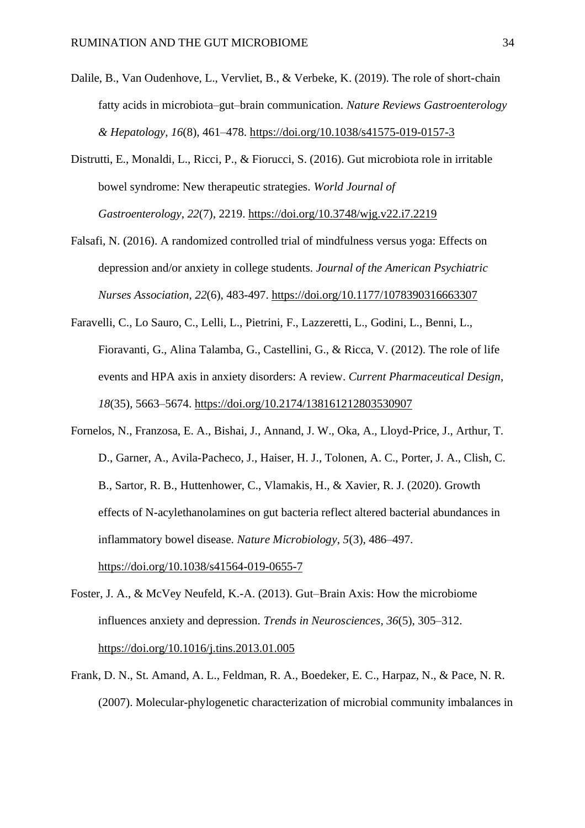- Dalile, B., Van Oudenhove, L., Vervliet, B., & Verbeke, K. (2019). The role of short-chain fatty acids in microbiota–gut–brain communication. *Nature Reviews Gastroenterology & Hepatology*, *16*(8), 461–478.<https://doi.org/10.1038/s41575-019-0157-3>
- Distrutti, E., Monaldi, L., Ricci, P., & Fiorucci, S. (2016). Gut microbiota role in irritable bowel syndrome: New therapeutic strategies. *World Journal of Gastroenterology*, *22*(7), 2219. https://doi.org[/10.3748/wjg.v22.i7.2219](https://dx.doi.org/10.3748%2Fwjg.v22.i7.2219)
- Falsafi, N. (2016). A randomized controlled trial of mindfulness versus yoga: Effects on depression and/or anxiety in college students. *Journal of the American Psychiatric Nurses Association*, *22*(6), 483-497. [https://doi.org/10.1177/1078390316663307](https://doi.org/10.1177%2F1078390316663307)
- Faravelli, C., Lo Sauro, C., Lelli, L., Pietrini, F., Lazzeretti, L., Godini, L., Benni, L., Fioravanti, G., Alina Talamba, G., Castellini, G., & Ricca, V. (2012). The role of life events and HPA axis in anxiety disorders: A review. *Current Pharmaceutical Design*, *18*(35), 5663–5674. https://doi.org/10.2174/138161212803530907
- Fornelos, N., Franzosa, E. A., Bishai, J., Annand, J. W., Oka, A., Lloyd-Price, J., Arthur, T. D., Garner, A., Avila-Pacheco, J., Haiser, H. J., Tolonen, A. C., Porter, J. A., Clish, C. B., Sartor, R. B., Huttenhower, C., Vlamakis, H., & Xavier, R. J. (2020). Growth effects of N-acylethanolamines on gut bacteria reflect altered bacterial abundances in inflammatory bowel disease. *Nature Microbiology*, *5*(3), 486–497. https://doi.org/10.1038/s41564-019-0655-7
- Foster, J. A., & McVey Neufeld, K.-A. (2013). Gut–Brain Axis: How the microbiome influences anxiety and depression. *Trends in Neurosciences*, *36*(5), 305–312. https://doi.org/10.1016/j.tins.2013.01.005
- Frank, D. N., St. Amand, A. L., Feldman, R. A., Boedeker, E. C., Harpaz, N., & Pace, N. R. (2007). Molecular-phylogenetic characterization of microbial community imbalances in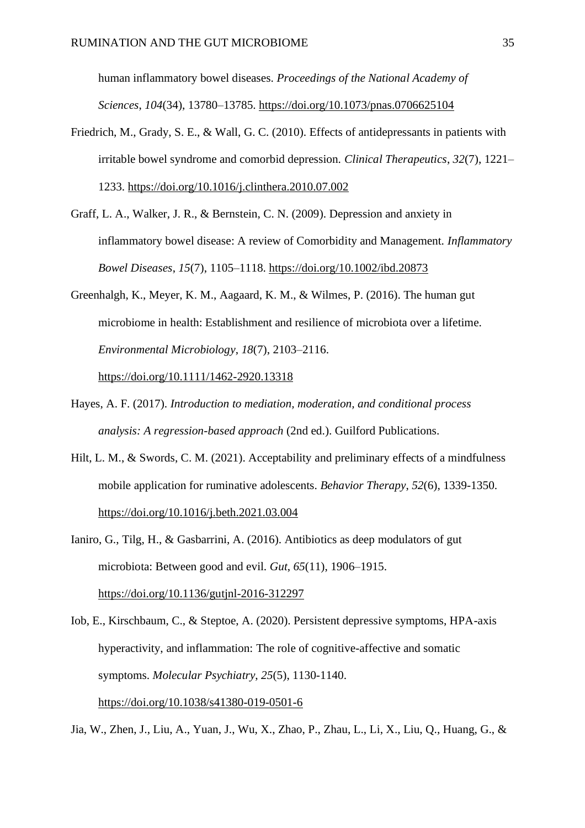human inflammatory bowel diseases. *Proceedings of the National Academy of Sciences*, *104*(34), 13780–13785. https://doi.org/10.1073/pnas.0706625104

- Friedrich, M., Grady, S. E., & Wall, G. C. (2010). Effects of antidepressants in patients with irritable bowel syndrome and comorbid depression. *Clinical Therapeutics*, *32*(7), 1221– 1233. https://doi.org/10.1016/j.clinthera.2010.07.002
- Graff, L. A., Walker, J. R., & Bernstein, C. N. (2009). Depression and anxiety in inflammatory bowel disease: A review of Comorbidity and Management. *Inflammatory Bowel Diseases*, *15*(7), 1105–1118. https://doi.org/10.1002/ibd.20873
- Greenhalgh, K., Meyer, K. M., Aagaard, K. M., & Wilmes, P. (2016). The human gut microbiome in health: Establishment and resilience of microbiota over a lifetime. *Environmental Microbiology*, *18*(7), 2103–2116.

https://doi.org/10.1111/1462-2920.13318

- Hayes, A. F. (2017). *Introduction to mediation, moderation, and conditional process analysis: A regression-based approach* (2nd ed.). Guilford Publications.
- Hilt, L. M., & Swords, C. M. (2021). Acceptability and preliminary effects of a mindfulness mobile application for ruminative adolescents. *Behavior Therapy*, *52*(6), 1339-1350. https://doi.org/10.1016/j.beth.2021.03.004
- Ianiro, G., Tilg, H., & Gasbarrini, A. (2016). Antibiotics as deep modulators of gut microbiota: Between good and evil. *Gut*, *65*(11), 1906–1915. https://doi.org/10.1136/gutjnl-2016-312297
- Iob, E., Kirschbaum, C., & Steptoe, A. (2020). Persistent depressive symptoms, HPA-axis hyperactivity, and inflammation: The role of cognitive-affective and somatic symptoms. *Molecular Psychiatry*, *25*(5), 1130-1140. https://doi.org/10.1038/s41380-019-0501-6

Jia, W., Zhen, J., Liu, A., Yuan, J., Wu, X., Zhao, P., Zhau, L., Li, X., Liu, Q., Huang, G., &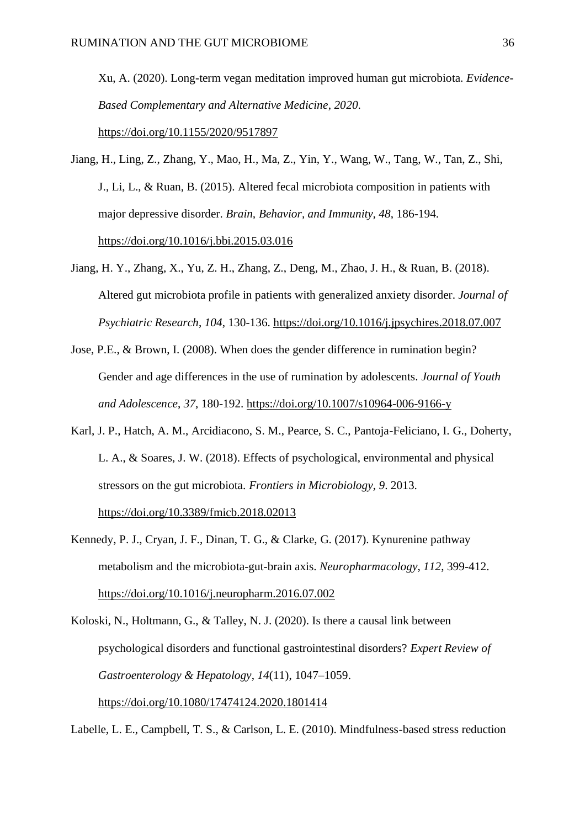Xu, A. (2020). Long-term vegan meditation improved human gut microbiota. *Evidence-Based Complementary and Alternative Medicine*, *2020*. <https://doi.org/10.1155/2020/9517897>

- Jiang, H., Ling, Z., Zhang, Y., Mao, H., Ma, Z., Yin, Y., Wang, W., Tang, W., Tan, Z., Shi, J., Li, L., & Ruan, B. (2015). Altered fecal microbiota composition in patients with major depressive disorder. *Brain, Behavior, and Immunity, 48*, 186-194. <https://doi.org/10.1016/j.bbi.2015.03.016>
- Jiang, H. Y., Zhang, X., Yu, Z. H., Zhang, Z., Deng, M., Zhao, J. H., & Ruan, B. (2018). Altered gut microbiota profile in patients with generalized anxiety disorder. *Journal of Psychiatric Research*, *104*, 130-136. <https://doi.org/10.1016/j.jpsychires.2018.07.007>
- Jose, P.E., & Brown, I. (2008). When does the gender difference in rumination begin? Gender and age differences in the use of rumination by adolescents. *Journal of Youth and Adolescence*, *37*, 180-192.<https://doi.org/10.1007/s10964-006-9166-y>
- Karl, J. P., Hatch, A. M., Arcidiacono, S. M., Pearce, S. C., Pantoja-Feliciano, I. G., Doherty, L. A., & Soares, J. W. (2018). Effects of psychological, environmental and physical stressors on the gut microbiota. *Frontiers in Microbiology*, *9*. 2013. https://doi.org/10.3389/fmicb.2018.02013
- Kennedy, P. J., Cryan, J. F., Dinan, T. G., & Clarke, G. (2017). Kynurenine pathway metabolism and the microbiota-gut-brain axis. *Neuropharmacology*, *112*, 399-412. <https://doi.org/10.1016/j.neuropharm.2016.07.002>

Koloski, N., Holtmann, G., & Talley, N. J. (2020). Is there a causal link between psychological disorders and functional gastrointestinal disorders? *Expert Review of Gastroenterology & Hepatology*, *14*(11), 1047–1059. https://doi.org/10.1080/17474124.2020.1801414

Labelle, L. E., Campbell, T. S., & Carlson, L. E. (2010). Mindfulness-based stress reduction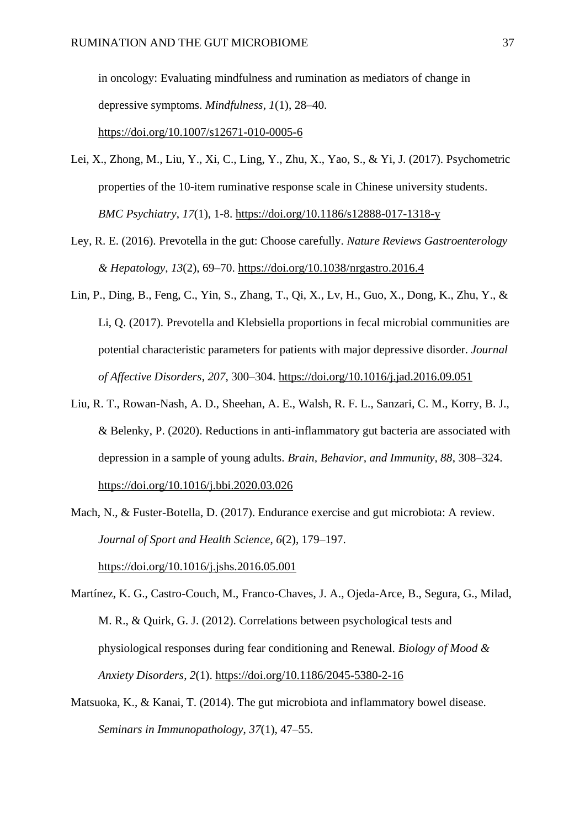in oncology: Evaluating mindfulness and rumination as mediators of change in depressive symptoms. *Mindfulness*, *1*(1), 28–40.

https://doi.org/10.1007/s12671-010-0005-6

- Lei, X., Zhong, M., Liu, Y., Xi, C., Ling, Y., Zhu, X., Yao, S., & Yi, J. (2017). Psychometric properties of the 10-item ruminative response scale in Chinese university students. *BMC Psychiatry*, *17*(1), 1-8. <https://doi.org/10.1186/s12888-017-1318-y>
- Ley, R. E. (2016). Prevotella in the gut: Choose carefully. *Nature Reviews Gastroenterology & Hepatology*, *13*(2), 69–70. https://doi.org/10.1038/nrgastro.2016.4
- Lin, P., Ding, B., Feng, C., Yin, S., Zhang, T., Qi, X., Lv, H., Guo, X., Dong, K., Zhu, Y., & Li, Q. (2017). Prevotella and Klebsiella proportions in fecal microbial communities are potential characteristic parameters for patients with major depressive disorder. *Journal of Affective Disorders*, *207*, 300–304. https://doi.org/10.1016/j.jad.2016.09.051
- Liu, R. T., Rowan-Nash, A. D., Sheehan, A. E., Walsh, R. F. L., Sanzari, C. M., Korry, B. J., & Belenky, P. (2020). Reductions in anti-inflammatory gut bacteria are associated with depression in a sample of young adults. *Brain, Behavior, and Immunity, 88*, 308–324. <https://doi.org/10.1016/j.bbi.2020.03.026>
- Mach, N., & Fuster-Botella, D. (2017). Endurance exercise and gut microbiota: A review. *Journal of Sport and Health Science*, *6*(2), 179–197.

https://doi.org/10.1016/j.jshs.2016.05.001

- Martínez, K. G., Castro-Couch, M., Franco-Chaves, J. A., Ojeda-Arce, B., Segura, G., Milad, M. R., & Quirk, G. J. (2012). Correlations between psychological tests and physiological responses during fear conditioning and Renewal. *Biology of Mood & Anxiety Disorders*, *2*(1). https://doi.org/10.1186/2045-5380-2-16
- Matsuoka, K., & Kanai, T. (2014). The gut microbiota and inflammatory bowel disease. *Seminars in Immunopathology*, *37*(1), 47–55.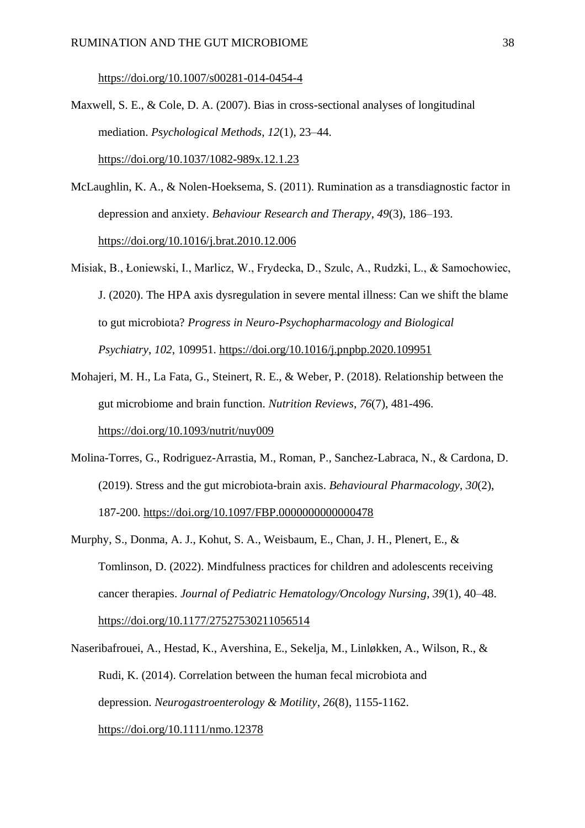https://doi.org/10.1007/s00281-014-0454-4

- Maxwell, S. E., & Cole, D. A. (2007). Bias in cross-sectional analyses of longitudinal mediation. *Psychological Methods*, *12*(1), 23–44. https://doi.org/10.1037/1082-989x.12.1.23
- McLaughlin, K. A., & Nolen-Hoeksema, S. (2011). Rumination as a transdiagnostic factor in depression and anxiety. *Behaviour Research and Therapy*, *49*(3), 186–193. https://doi.org/10.1016/j.brat.2010.12.006
- Misiak, B., Łoniewski, I., Marlicz, W., Frydecka, D., Szulc, A., Rudzki, L., & Samochowiec, J. (2020). The HPA axis dysregulation in severe mental illness: Can we shift the blame to gut microbiota? *Progress in Neuro-Psychopharmacology and Biological Psychiatry*, *102*, 109951. <https://doi.org/10.1016/j.pnpbp.2020.109951>
- Mohajeri, M. H., La Fata, G., Steinert, R. E., & Weber, P. (2018). Relationship between the gut microbiome and brain function. *Nutrition Reviews*, *76*(7), 481-496. <https://doi.org/10.1093/nutrit/nuy009>
- Molina-Torres, G., Rodriguez-Arrastia, M., Roman, P., Sanchez-Labraca, N., & Cardona, D. (2019). Stress and the gut microbiota-brain axis. *Behavioural Pharmacology*, *30*(2), 187-200. <https://doi.org/10.1097/FBP.0000000000000478>
- Murphy, S., Donma, A. J., Kohut, S. A., Weisbaum, E., Chan, J. H., Plenert, E., & Tomlinson, D. (2022). Mindfulness practices for children and adolescents receiving cancer therapies. *Journal of Pediatric Hematology/Oncology Nursing*, *39*(1), 40–48. https://doi.org/10.1177/27527530211056514
- Naseribafrouei, A., Hestad, K., Avershina, E., Sekelja, M., Linløkken, A., Wilson, R., & Rudi, K. (2014). Correlation between the human fecal microbiota and depression. *Neurogastroenterology & Motility*, *26*(8), 1155-1162. <https://doi.org/10.1111/nmo.12378>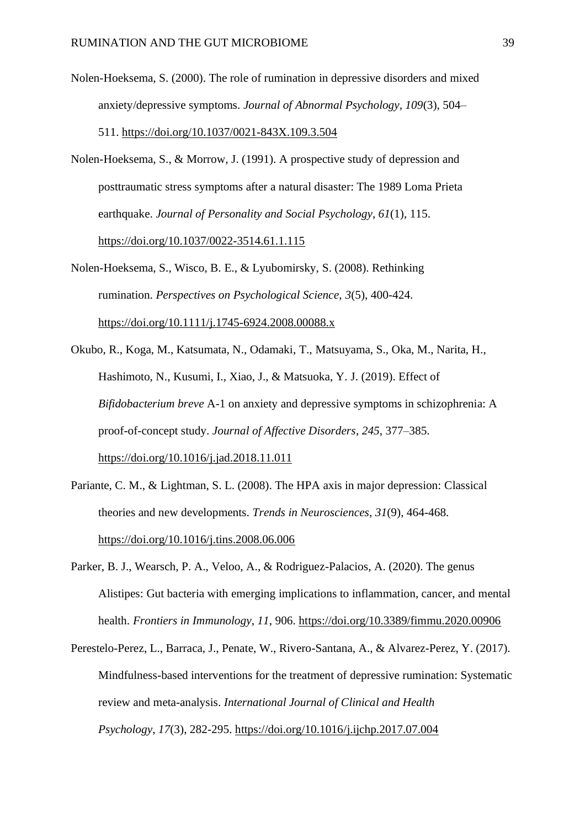- Nolen-Hoeksema, S. (2000). The role of rumination in depressive disorders and mixed anxiety/depressive symptoms. *Journal of Abnormal Psychology, 109*(3), 504– 511. [https://doi.org/10.1037/0021-843X.109.3.504](https://psycnet.apa.org/doi/10.1037/0021-843X.109.3.504)
- Nolen-Hoeksema, S., & Morrow, J. (1991). A prospective study of depression and posttraumatic stress symptoms after a natural disaster: The 1989 Loma Prieta earthquake. *Journal of Personality and Social Psychology*, *61*(1), 115. [https://doi.org/10.1037/0022-3514.61.1.115](https://psycnet.apa.org/doi/10.1037/0022-3514.61.1.115)
- Nolen-Hoeksema, S., Wisco, B. E., & Lyubomirsky, S. (2008). Rethinking rumination. *Perspectives on Psychological Science*, *3*(5), 400-424. [https://doi.org/10.1111/j.1745-6924.2008.00088.x](https://doi.org/10.1111%2Fj.1745-6924.2008.00088.x)
- Okubo, R., Koga, M., Katsumata, N., Odamaki, T., Matsuyama, S., Oka, M., Narita, H., Hashimoto, N., Kusumi, I., Xiao, J., & Matsuoka, Y. J. (2019). Effect of *Bifidobacterium breve* A-1 on anxiety and depressive symptoms in schizophrenia: A proof-of-concept study. *Journal of Affective Disorders*, *245*, 377–385. https://doi.org/10.1016/j.jad.2018.11.011
- Pariante, C. M., & Lightman, S. L. (2008). The HPA axis in major depression: Classical theories and new developments. *Trends in Neurosciences*, *31*(9), 464-468. <https://doi.org/10.1016/j.tins.2008.06.006>
- Parker, B. J., Wearsch, P. A., Veloo, A., & Rodriguez-Palacios, A. (2020). The genus Alistipes: Gut bacteria with emerging implications to inflammation, cancer, and mental health. *Frontiers in Immunology*, *11*, 906. <https://doi.org/10.3389/fimmu.2020.00906>
- Perestelo-Perez, L., Barraca, J., Penate, W., Rivero-Santana, A., & Alvarez-Perez, Y. (2017). Mindfulness-based interventions for the treatment of depressive rumination: Systematic review and meta-analysis. *International Journal of Clinical and Health Psychology*, *17*(3), 282-295.<https://doi.org/10.1016/j.ijchp.2017.07.004>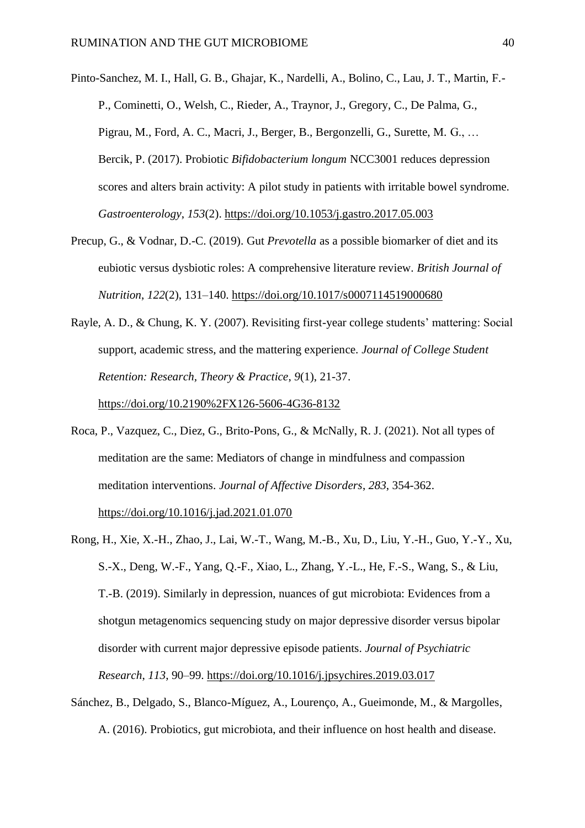Pinto-Sanchez, M. I., Hall, G. B., Ghajar, K., Nardelli, A., Bolino, C., Lau, J. T., Martin, F.- P., Cominetti, O., Welsh, C., Rieder, A., Traynor, J., Gregory, C., De Palma, G., Pigrau, M., Ford, A. C., Macri, J., Berger, B., Bergonzelli, G., Surette, M. G., … Bercik, P. (2017). Probiotic *Bifidobacterium longum* NCC3001 reduces depression scores and alters brain activity: A pilot study in patients with irritable bowel syndrome. *Gastroenterology*, *153*(2). https://doi.org/10.1053/j.gastro.2017.05.003

Precup, G., & Vodnar, D.-C. (2019). Gut *Prevotella* as a possible biomarker of diet and its eubiotic versus dysbiotic roles: A comprehensive literature review. *British Journal of Nutrition*, *122*(2), 131–140. https://doi.org/10.1017/s0007114519000680

Rayle, A. D., & Chung, K. Y. (2007). Revisiting first-year college students' mattering: Social support, academic stress, and the mattering experience. *Journal of College Student Retention: Research, Theory & Practice*, *9*(1), 21-37. <https://doi.org/10.2190%2FX126-5606-4G36-8132>

Roca, P., Vazquez, C., Diez, G., Brito-Pons, G., & McNally, R. J. (2021). Not all types of meditation are the same: Mediators of change in mindfulness and compassion meditation interventions. *Journal of Affective Disorders*, *283*, 354-362.

<https://doi.org/10.1016/j.jad.2021.01.070>

- Rong, H., Xie, X.-H., Zhao, J., Lai, W.-T., Wang, M.-B., Xu, D., Liu, Y.-H., Guo, Y.-Y., Xu, S.-X., Deng, W.-F., Yang, Q.-F., Xiao, L., Zhang, Y.-L., He, F.-S., Wang, S., & Liu, T.-B. (2019). Similarly in depression, nuances of gut microbiota: Evidences from a shotgun metagenomics sequencing study on major depressive disorder versus bipolar disorder with current major depressive episode patients. *Journal of Psychiatric Research*, *113*, 90–99. https://doi.org/10.1016/j.jpsychires.2019.03.017
- Sánchez, B., Delgado, S., Blanco-Míguez, A., Lourenço, A., Gueimonde, M., & Margolles, A. (2016). Probiotics, gut microbiota, and their influence on host health and disease.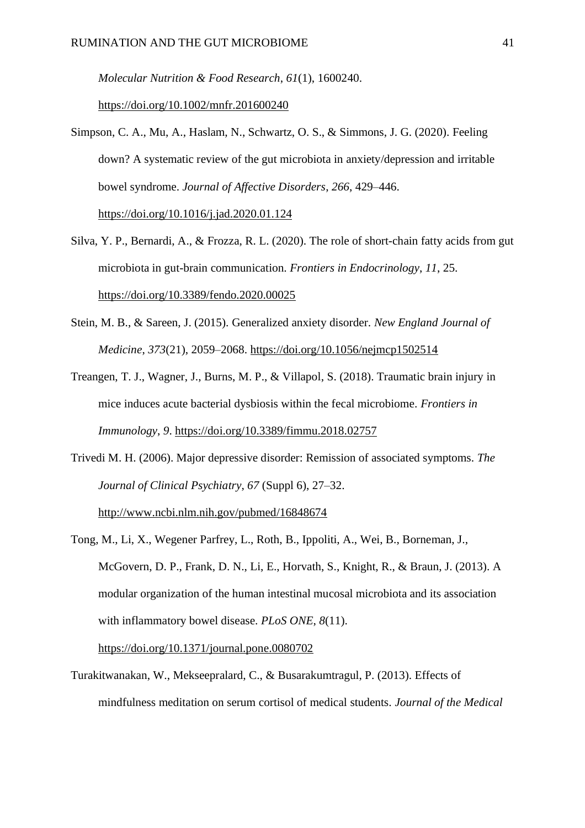*Molecular Nutrition & Food Research*, *61*(1), 1600240.

https://doi.org/10.1002/mnfr.201600240

- Simpson, C. A., Mu, A., Haslam, N., Schwartz, O. S., & Simmons, J. G. (2020). Feeling down? A systematic review of the gut microbiota in anxiety/depression and irritable bowel syndrome. *Journal of Affective Disorders*, *266*, 429–446. https://doi.org/10.1016/j.jad.2020.01.124
- Silva, Y. P., Bernardi, A., & Frozza, R. L. (2020). The role of short-chain fatty acids from gut microbiota in gut-brain communication. *Frontiers in Endocrinology*, *11*, 25. <https://doi.org/10.3389/fendo.2020.00025>
- Stein, M. B., & Sareen, J. (2015). Generalized anxiety disorder. *New England Journal of Medicine*, *373*(21), 2059–2068. https://doi.org/10.1056/nejmcp1502514
- Treangen, T. J., Wagner, J., Burns, M. P., & Villapol, S. (2018). Traumatic brain injury in mice induces acute bacterial dysbiosis within the fecal microbiome. *Frontiers in Immunology*, *9*. https://doi.org/10.3389/fimmu.2018.02757
- Trivedi M. H. (2006). Major depressive disorder: Remission of associated symptoms. *The Journal of Clinical Psychiatry*, *67* (Suppl 6), 27–32.

<http://www.ncbi.nlm.nih.gov/pubmed/16848674>

Tong, M., Li, X., Wegener Parfrey, L., Roth, B., Ippoliti, A., Wei, B., Borneman, J., McGovern, D. P., Frank, D. N., Li, E., Horvath, S., Knight, R., & Braun, J. (2013). A modular organization of the human intestinal mucosal microbiota and its association with inflammatory bowel disease. *PLoS ONE*, *8*(11).

https://doi.org/10.1371/journal.pone.0080702

Turakitwanakan, W., Mekseepralard, C., & Busarakumtragul, P. (2013). Effects of mindfulness meditation on serum cortisol of medical students. *Journal of the Medical*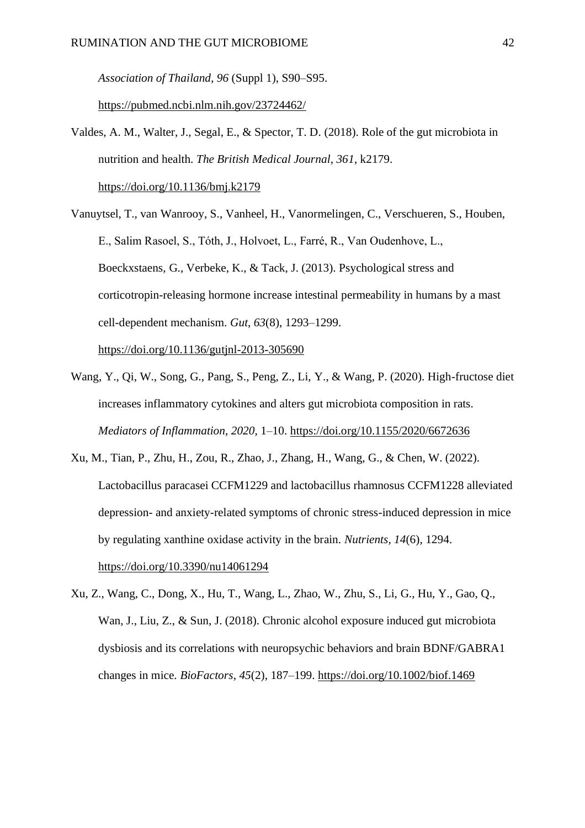*Association of Thailand*, *96* (Suppl 1), S90–S95.

https://pubmed.ncbi.nlm.nih.gov/23724462/

- Valdes, A. M., Walter, J., Segal, E., & Spector, T. D. (2018). Role of the gut microbiota in nutrition and health. *The British Medical Journal*, *361*, k2179. <https://doi.org/10.1136/bmj.k2179>
- Vanuytsel, T., van Wanrooy, S., Vanheel, H., Vanormelingen, C., Verschueren, S., Houben, E., Salim Rasoel, S., Tόth, J., Holvoet, L., Farré, R., Van Oudenhove, L., Boeckxstaens, G., Verbeke, K., & Tack, J. (2013). Psychological stress and corticotropin-releasing hormone increase intestinal permeability in humans by a mast cell-dependent mechanism. *Gut*, *63*(8), 1293–1299. https://doi.org/10.1136/gutjnl-2013-305690
- Wang, Y., Qi, W., Song, G., Pang, S., Peng, Z., Li, Y., & Wang, P. (2020). High-fructose diet increases inflammatory cytokines and alters gut microbiota composition in rats. *Mediators of Inflammation*, *2020*, 1–10. https://doi.org/10.1155/2020/6672636
- Xu, M., Tian, P., Zhu, H., Zou, R., Zhao, J., Zhang, H., Wang, G., & Chen, W. (2022). Lactobacillus paracasei CCFM1229 and lactobacillus rhamnosus CCFM1228 alleviated depression- and anxiety-related symptoms of chronic stress-induced depression in mice by regulating xanthine oxidase activity in the brain. *Nutrients*, *14*(6), 1294. https://doi.org/10.3390/nu14061294
- Xu, Z., Wang, C., Dong, X., Hu, T., Wang, L., Zhao, W., Zhu, S., Li, G., Hu, Y., Gao, Q., Wan, J., Liu, Z., & Sun, J. (2018). Chronic alcohol exposure induced gut microbiota dysbiosis and its correlations with neuropsychic behaviors and brain BDNF/GABRA1 changes in mice. *BioFactors*, *45*(2), 187–199. https://doi.org/10.1002/biof.1469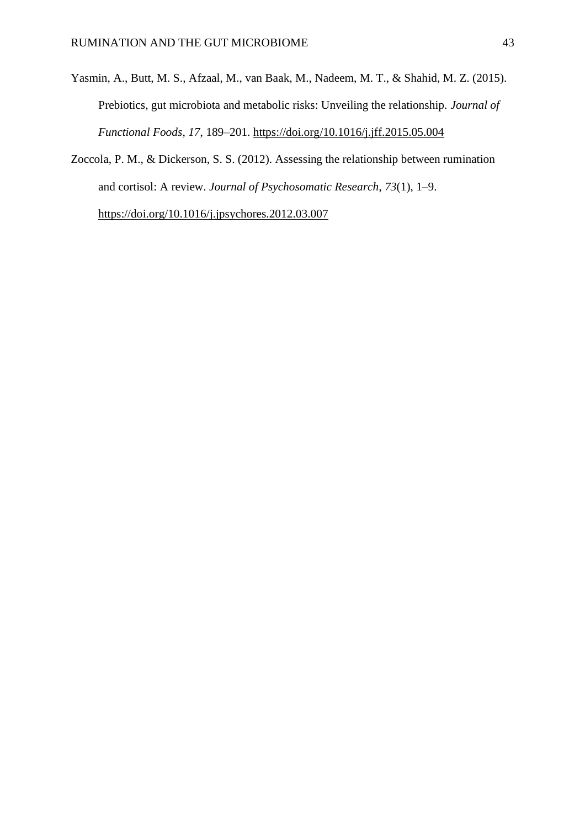- Yasmin, A., Butt, M. S., Afzaal, M., van Baak, M., Nadeem, M. T., & Shahid, M. Z. (2015). Prebiotics, gut microbiota and metabolic risks: Unveiling the relationship. *Journal of Functional Foods*, *17*, 189–201. https://doi.org/10.1016/j.jff.2015.05.004
- Zoccola, P. M., & Dickerson, S. S. (2012). Assessing the relationship between rumination and cortisol: A review. *Journal of Psychosomatic Research*, *73*(1), 1–9. https://doi.org/10.1016/j.jpsychores.2012.03.007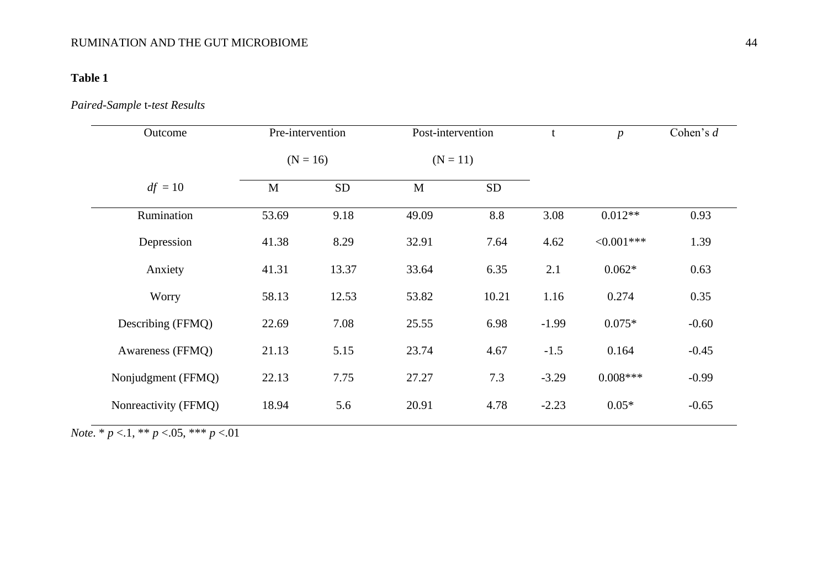## **Table 1**

## *Paired-Sample* t*-test Results*

| Outcome              | Pre-intervention<br>Post-intervention |           |            | $\mathbf t$ | $\boldsymbol{p}$ | Cohen's $d$   |         |
|----------------------|---------------------------------------|-----------|------------|-------------|------------------|---------------|---------|
|                      | $(N = 16)$                            |           | $(N = 11)$ |             |                  |               |         |
| $df = 10$            | M                                     | <b>SD</b> | M          | <b>SD</b>   |                  |               |         |
| Rumination           | 53.69                                 | 9.18      | 49.09      | 8.8         | 3.08             | $0.012**$     | 0.93    |
| Depression           | 41.38                                 | 8.29      | 32.91      | 7.64        | 4.62             | $< 0.001$ *** | 1.39    |
| Anxiety              | 41.31                                 | 13.37     | 33.64      | 6.35        | 2.1              | $0.062*$      | 0.63    |
| Worry                | 58.13                                 | 12.53     | 53.82      | 10.21       | 1.16             | 0.274         | 0.35    |
| Describing (FFMQ)    | 22.69                                 | 7.08      | 25.55      | 6.98        | $-1.99$          | $0.075*$      | $-0.60$ |
| Awareness (FFMQ)     | 21.13                                 | 5.15      | 23.74      | 4.67        | $-1.5$           | 0.164         | $-0.45$ |
| Nonjudgment (FFMQ)   | 22.13                                 | 7.75      | 27.27      | 7.3         | $-3.29$          | $0.008***$    | $-0.99$ |
| Nonreactivity (FFMQ) | 18.94                                 | 5.6       | 20.91      | 4.78        | $-2.23$          | $0.05*$       | $-0.65$ |

*Note*. \* *p* <.1, \*\* *p* <.05, \*\*\* *p* <.01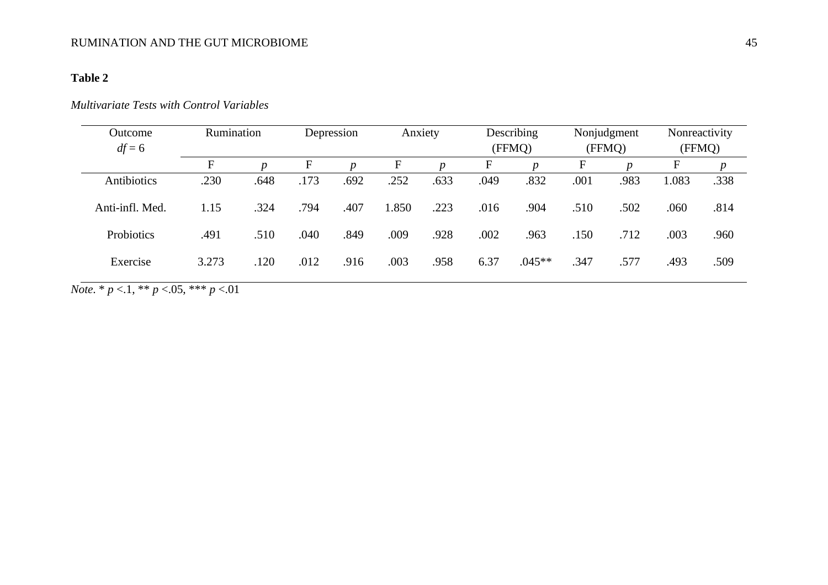## **Table 2**

## *Multivariate Tests with Control Variables*

| Outcome           | Rumination  |                  |              | Depression       | Anxiety     |                  |             | Describing       |             | Nonjudgment      | Nonreactivity |      |
|-------------------|-------------|------------------|--------------|------------------|-------------|------------------|-------------|------------------|-------------|------------------|---------------|------|
| $df = 6$          |             |                  |              |                  |             |                  |             | (FFMQ)           |             | (FFMQ)           | (FFMQ)        |      |
|                   | $\mathbf F$ | $\boldsymbol{D}$ | $\mathbf{F}$ | $\boldsymbol{p}$ | $\mathbf F$ | $\boldsymbol{p}$ | $\mathbf F$ | $\boldsymbol{p}$ | $\mathbf F$ | $\boldsymbol{p}$ | $\mathbf{F}$  | p    |
| Antibiotics       | .230        | .648             | .173         | .692             | .252        | .633             | .049        | .832             | .001        | .983             | 1.083         | .338 |
| Anti-infl. Med.   | 1.15        | .324             | .794         | .407             | 1.850       | .223             | .016        | .904             | .510        | .502             | .060          | .814 |
| <b>Probiotics</b> | .491        | .510             | .040         | .849             | .009        | .928             | .002        | .963             | .150        | .712             | .003          | .960 |
| Exercise          | 3.273       | .120             | .012         | .916             | .003        | .958             | 6.37        | $.045**$         | .347        | .577             | .493          | .509 |

*Note*. \* *p* <.1, \*\* *p* <.05, \*\*\* *p* <.01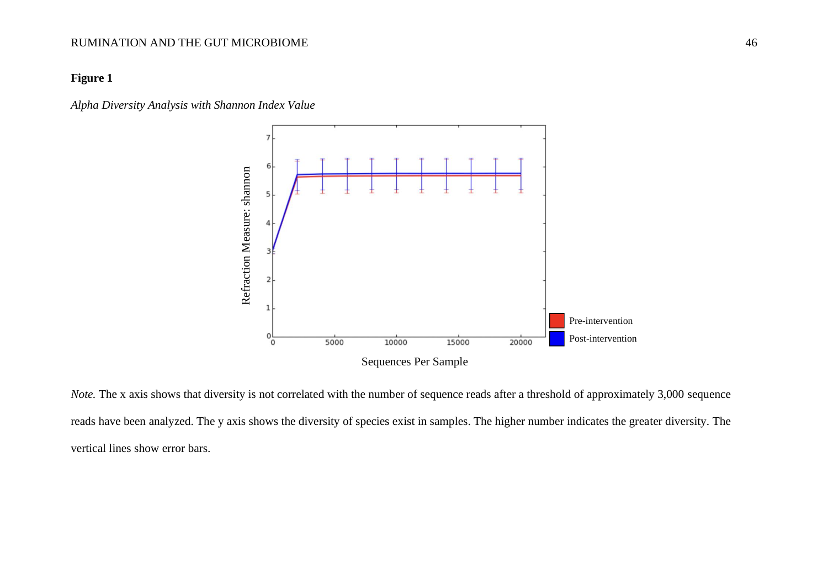#### **Figure 1**

*Alpha Diversity Analysis with Shannon Index Value*



*Note*. The x axis shows that diversity is not correlated with the number of sequence reads after a threshold of approximately 3,000 sequence reads have been analyzed. The y axis shows the diversity of species exist in samples. The higher number indicates the greater diversity. The vertical lines show error bars.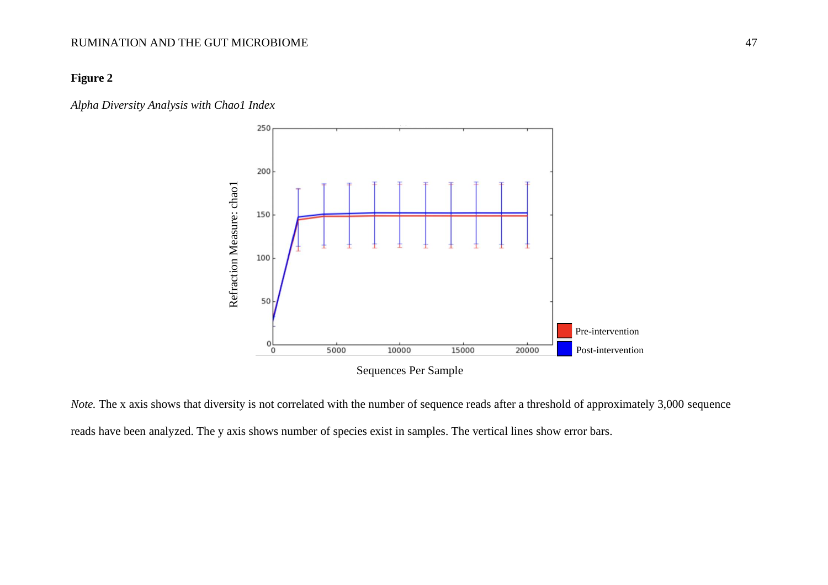## **Figure 2**

*Alpha Diversity Analysis with Chao1 Index*



*Note*. The x axis shows that diversity is not correlated with the number of sequence reads after a threshold of approximately 3,000 sequence reads have been analyzed. The y axis shows number of species exist in samples. The vertical lines show error bars.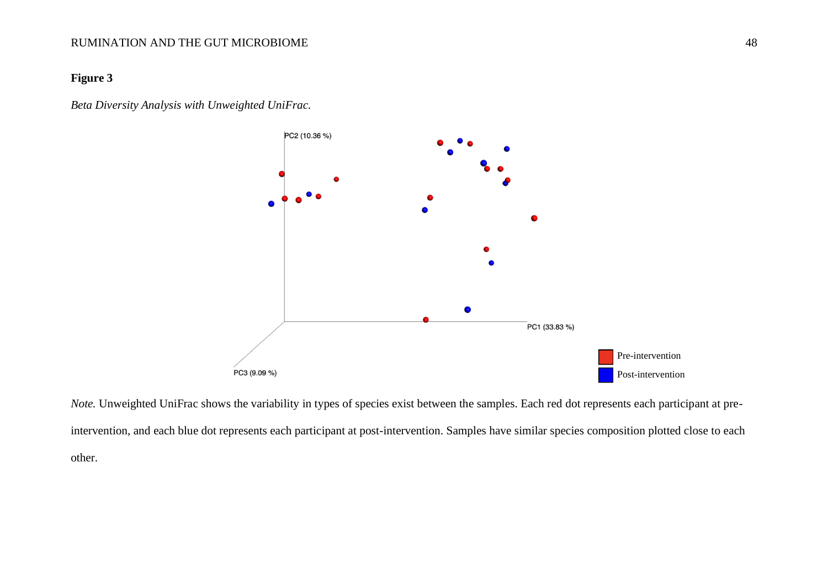## **Figure 3**

*Beta Diversity Analysis with Unweighted UniFrac.*



*Note*. Unweighted UniFrac shows the variability in types of species exist between the samples. Each red dot represents each participant at preintervention, and each blue dot represents each participant at post-intervention. Samples have similar species composition plotted close to each other.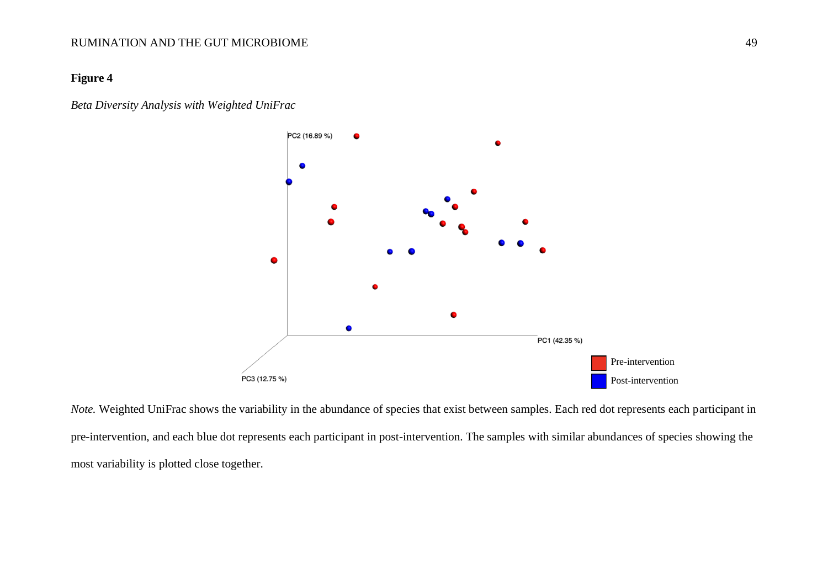#### **Figure 4**

*Beta Diversity Analysis with Weighted UniFrac*



*Note.* Weighted UniFrac shows the variability in the abundance of species that exist between samples. Each red dot represents each participant in pre-intervention, and each blue dot represents each participant in post-intervention. The samples with similar abundances of species showing the most variability is plotted close together.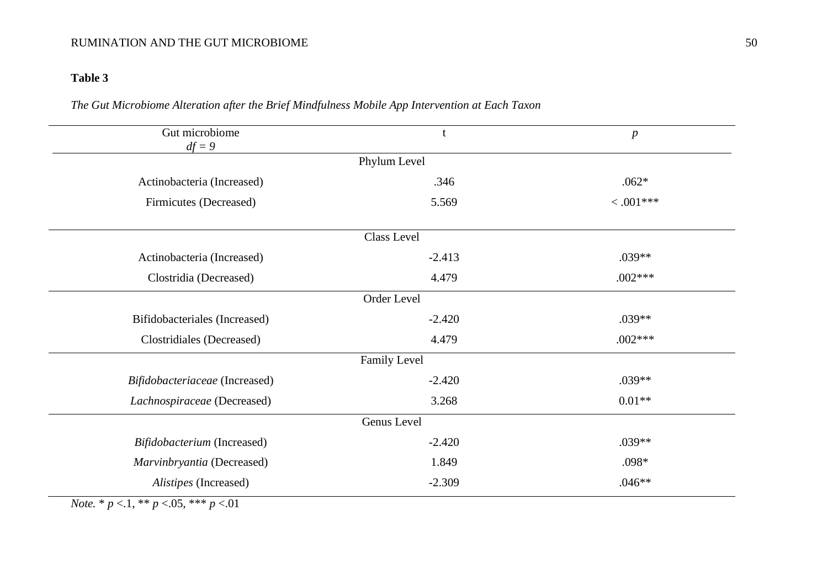## **Table 3**

## *The Gut Microbiome Alteration after the Brief Mindfulness Mobile App Intervention at Each Taxon*

| Gut microbiome<br>$df = 9$     | t           | $\boldsymbol{p}$ |  |  |  |  |  |
|--------------------------------|-------------|------------------|--|--|--|--|--|
| Phylum Level                   |             |                  |  |  |  |  |  |
| Actinobacteria (Increased)     | .346        | $.062*$          |  |  |  |  |  |
| Firmicutes (Decreased)         | 5.569       | $< .001***$      |  |  |  |  |  |
|                                | Class Level |                  |  |  |  |  |  |
| Actinobacteria (Increased)     | $-2.413$    | .039**           |  |  |  |  |  |
| Clostridia (Decreased)         | 4.479       | $.002***$        |  |  |  |  |  |
| Order Level                    |             |                  |  |  |  |  |  |
| Bifidobacteriales (Increased)  | $-2.420$    | $.039**$         |  |  |  |  |  |
| Clostridiales (Decreased)      | 4.479       | $.002***$        |  |  |  |  |  |
| Family Level                   |             |                  |  |  |  |  |  |
| Bifidobacteriaceae (Increased) | $-2.420$    | $.039**$         |  |  |  |  |  |
| Lachnospiraceae (Decreased)    | 3.268       | $0.01**$         |  |  |  |  |  |
| Genus Level                    |             |                  |  |  |  |  |  |
| Bifidobacterium (Increased)    | $-2.420$    | .039**           |  |  |  |  |  |
| Marvinbryantia (Decreased)     | 1.849       | $.098*$          |  |  |  |  |  |
| Alistipes (Increased)          | $-2.309$    | $.046**$         |  |  |  |  |  |

*Note.* \* *p* <.1, \*\* *p* <.05, \*\*\* *p* <.01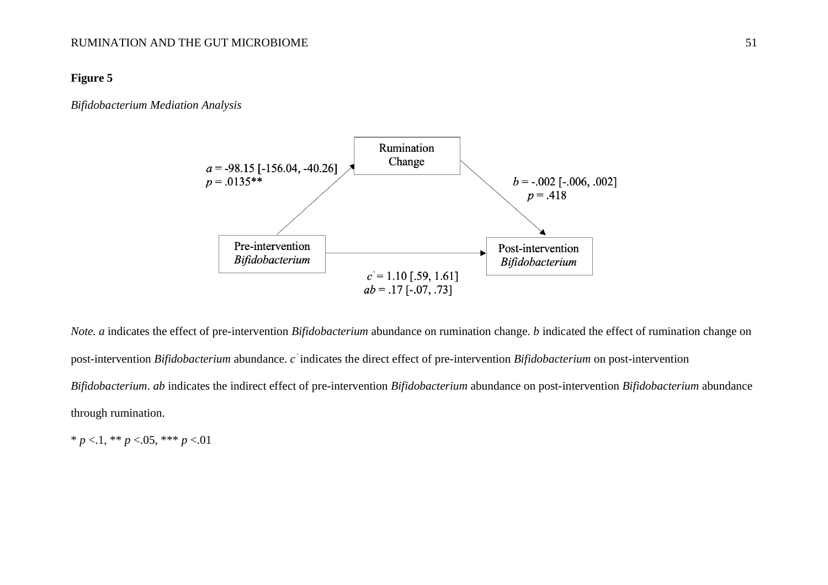#### **Figure 5**

#### *Bifidobacterium Mediation Analysis*



*Note. a* indicates the effect of pre-intervention *Bifidobacterium* abundance on rumination change. *b* indicated the effect of rumination change on post-intervention *Bifidobacterium* abundance. *c '* indicates the direct effect of pre-intervention *Bifidobacterium* on post-intervention *Bifidobacterium*. *ab* indicates the indirect effect of pre-intervention *Bifidobacterium* abundance on post-intervention *Bifidobacterium* abundance through rumination.

 $* p < 1, ** p < 0.05, *** p < 0.01$